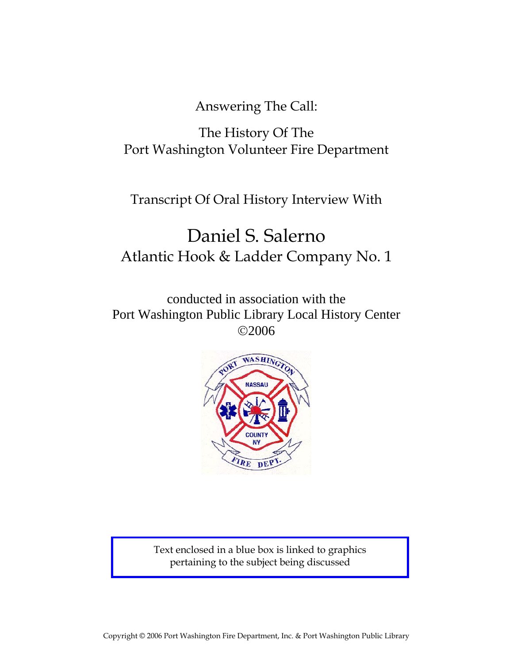Answering The Call:

# The History Of The Port Washington Volunteer Fire Department

# Transcript Of Oral History Interview With

# Daniel S. Salerno Atlantic Hook & Ladder Company No. 1

conducted in association with the Port Washington Public Library Local History Center ©2006



Text enclosed in a blue box is linked to graphics pertaining to the subject being discussed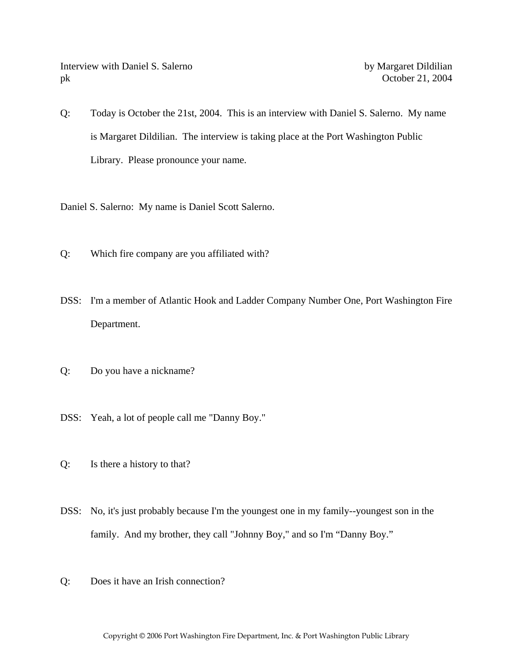Interview with Daniel S. Salerno by Margaret Dildilian pk October 21, 2004

Q: Today is October the 21st, 2004. This is an interview with Daniel S. Salerno. My name is Margaret Dildilian. The interview is taking place at the Port Washington Public Library. Please pronounce your name.

Daniel S. Salerno: My name is Daniel Scott Salerno.

- Q: Which fire company are you affiliated with?
- DSS: I'm a member of Atlantic Hook and Ladder Company Number One, Port Washington Fire Department.
- Q: Do you have a nickname?
- DSS: Yeah, a lot of people call me "Danny Boy."
- Q: Is there a history to that?
- DSS: No, it's just probably because I'm the youngest one in my family--youngest son in the family. And my brother, they call "Johnny Boy," and so I'm "Danny Boy."
- Q: Does it have an Irish connection?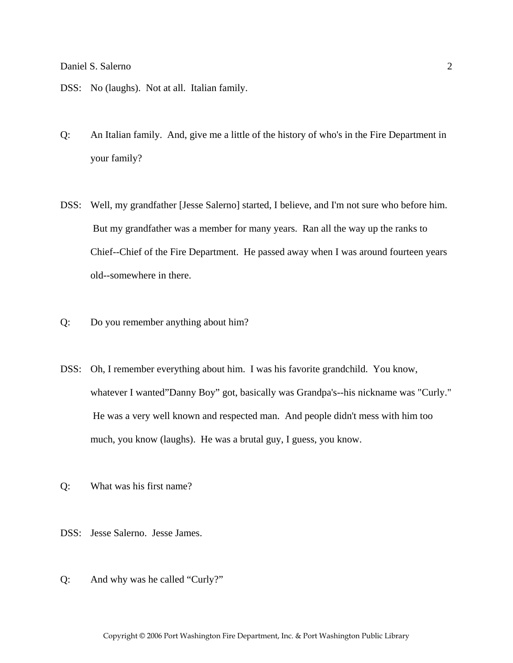- DSS: No (laughs). Not at all. Italian family.
- Q: An Italian family. And, give me a little of the history of who's in the Fire Department in your family?
- DSS: Well, my grandfather [Jesse Salerno] started, I believe, and I'm not sure who before him. But my grandfather was a member for many years. Ran all the way up the ranks to Chief--Chief of the Fire Department. He passed away when I was around fourteen years old--somewhere in there.
- Q: Do you remember anything about him?
- DSS: Oh, I remember everything about him. I was his favorite grandchild. You know, whatever I wanted"Danny Boy" got, basically was Grandpa's--his nickname was "Curly." He was a very well known and respected man. And people didn't mess with him too much, you know (laughs). He was a brutal guy, I guess, you know.
- Q: What was his first name?
- DSS: Jesse Salerno. Jesse James.
- Q: And why was he called "Curly?"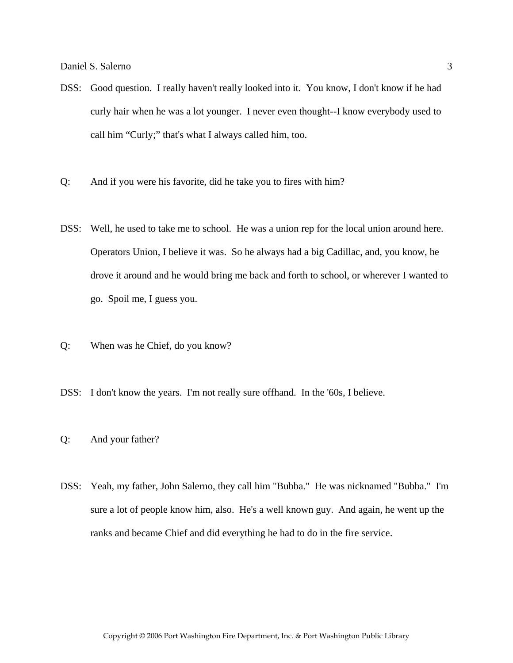- DSS: Good question. I really haven't really looked into it. You know, I don't know if he had curly hair when he was a lot younger. I never even thought--I know everybody used to call him "Curly;" that's what I always called him, too.
- Q: And if you were his favorite, did he take you to fires with him?
- DSS: Well, he used to take me to school. He was a union rep for the local union around here. Operators Union, I believe it was. So he always had a big Cadillac, and, you know, he drove it around and he would bring me back and forth to school, or wherever I wanted to go. Spoil me, I guess you.
- Q: When was he Chief, do you know?
- DSS: I don't know the years. I'm not really sure offhand. In the '60s, I believe.
- Q: And your father?
- DSS: Yeah, my father, John Salerno, they call him "Bubba." He was nicknamed "Bubba." I'm sure a lot of people know him, also. He's a well known guy. And again, he went up the ranks and became Chief and did everything he had to do in the fire service.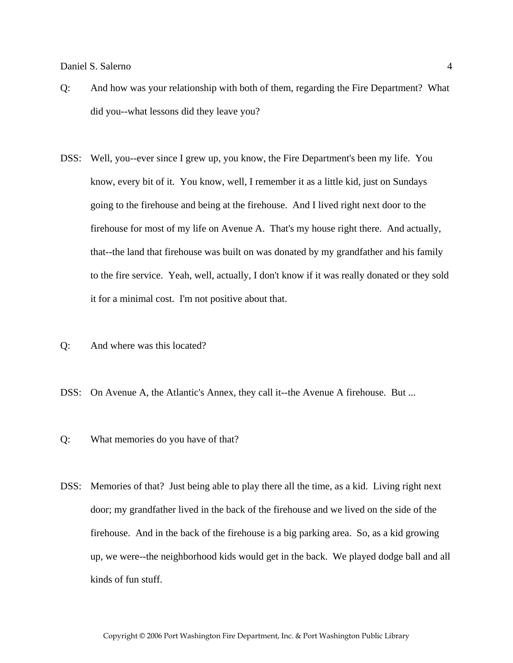- Q: And how was your relationship with both of them, regarding the Fire Department? What did you--what lessons did they leave you?
- DSS: Well, you--ever since I grew up, you know, the Fire Department's been my life. You know, every bit of it. You know, well, I remember it as a little kid, just on Sundays going to the firehouse and being at the firehouse. And I lived right next door to the firehouse for most of my life on Avenue A. That's my house right there. And actually, that--the land that firehouse was built on was donated by my grandfather and his family to the fire service. Yeah, well, actually, I don't know if it was really donated or they sold it for a minimal cost. I'm not positive about that.
- Q: And where was this located?
- DSS: On Avenue A, the Atlantic's Annex, they call it--the Avenue A firehouse. But ...
- Q: What memories do you have of that?
- DSS: Memories of that? Just being able to play there all the time, as a kid. Living right next door; my grandfather lived in the back of the firehouse and we lived on the side of the firehouse. And in the back of the firehouse is a big parking area. So, as a kid growing up, we were--the neighborhood kids would get in the back. We played dodge ball and all kinds of fun stuff.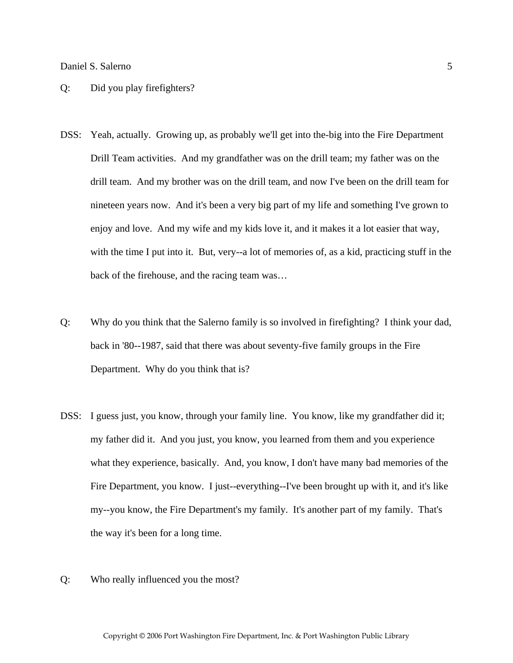#### Q: Did you play firefighters?

- DSS: Yeah, actually. Growing up, as probably we'll get into the-big into the Fire Department Drill Team activities. And my grandfather was on the drill team; my father was on the drill team. And my brother was on the drill team, and now I've been on the drill team for nineteen years now. And it's been a very big part of my life and something I've grown to enjoy and love. And my wife and my kids love it, and it makes it a lot easier that way, with the time I put into it. But, very--a lot of memories of, as a kid, practicing stuff in the back of the firehouse, and the racing team was…
- Q: Why do you think that the Salerno family is so involved in firefighting? I think your dad, back in '80--1987, said that there was about seventy-five family groups in the Fire Department. Why do you think that is?
- DSS: I guess just, you know, through your family line. You know, like my grandfather did it; my father did it. And you just, you know, you learned from them and you experience what they experience, basically. And, you know, I don't have many bad memories of the Fire Department, you know. I just--everything--I've been brought up with it, and it's like my--you know, the Fire Department's my family. It's another part of my family. That's the way it's been for a long time.
- Q: Who really influenced you the most?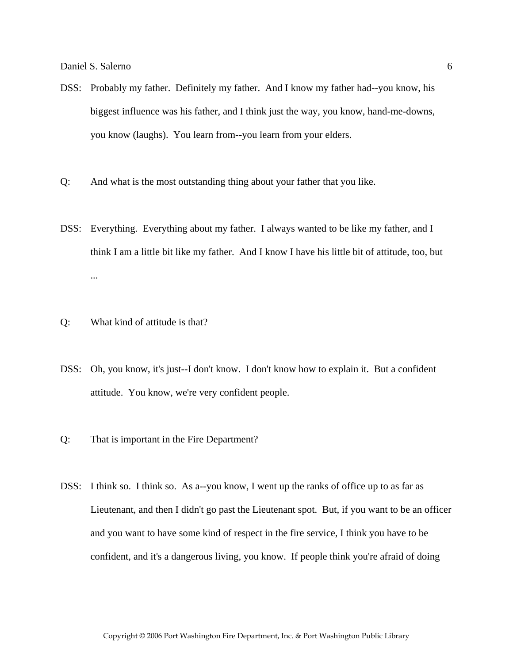- DSS: Probably my father. Definitely my father. And I know my father had--you know, his biggest influence was his father, and I think just the way, you know, hand-me-downs, you know (laughs). You learn from--you learn from your elders.
- Q: And what is the most outstanding thing about your father that you like.
- DSS: Everything. Everything about my father. I always wanted to be like my father, and I think I am a little bit like my father. And I know I have his little bit of attitude, too, but ...
- Q: What kind of attitude is that?
- DSS: Oh, you know, it's just--I don't know. I don't know how to explain it. But a confident attitude. You know, we're very confident people.
- Q: That is important in the Fire Department?
- DSS: I think so. I think so. As a--you know, I went up the ranks of office up to as far as Lieutenant, and then I didn't go past the Lieutenant spot. But, if you want to be an officer and you want to have some kind of respect in the fire service, I think you have to be confident, and it's a dangerous living, you know. If people think you're afraid of doing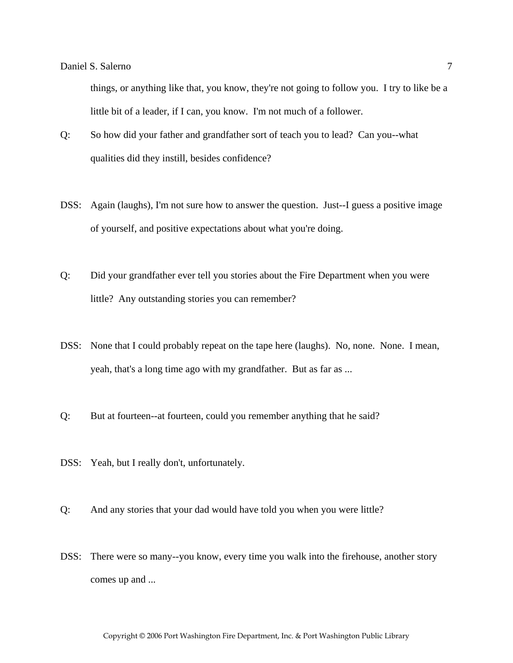things, or anything like that, you know, they're not going to follow you. I try to like be a little bit of a leader, if I can, you know. I'm not much of a follower.

- Q: So how did your father and grandfather sort of teach you to lead? Can you--what qualities did they instill, besides confidence?
- DSS: Again (laughs), I'm not sure how to answer the question. Just--I guess a positive image of yourself, and positive expectations about what you're doing.
- Q: Did your grandfather ever tell you stories about the Fire Department when you were little? Any outstanding stories you can remember?
- DSS: None that I could probably repeat on the tape here (laughs). No, none. None. I mean, yeah, that's a long time ago with my grandfather. But as far as ...
- Q: But at fourteen--at fourteen, could you remember anything that he said?
- DSS: Yeah, but I really don't, unfortunately.
- Q: And any stories that your dad would have told you when you were little?
- DSS: There were so many--you know, every time you walk into the firehouse, another story comes up and ...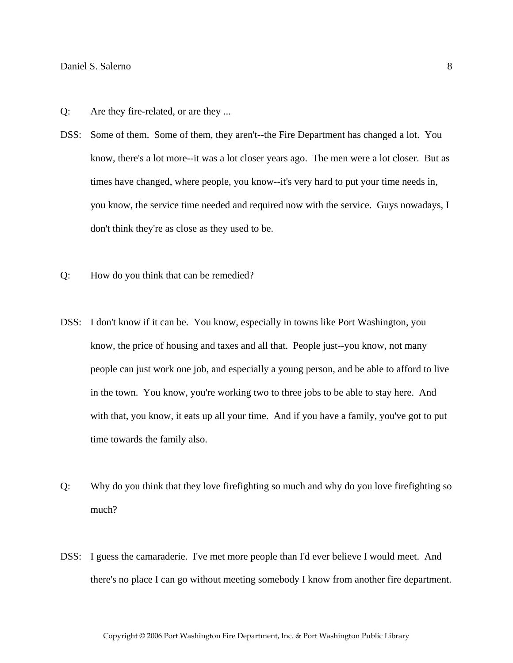- Q: Are they fire-related, or are they ...
- DSS: Some of them. Some of them, they aren't--the Fire Department has changed a lot. You know, there's a lot more--it was a lot closer years ago. The men were a lot closer. But as times have changed, where people, you know--it's very hard to put your time needs in, you know, the service time needed and required now with the service. Guys nowadays, I don't think they're as close as they used to be.
- Q: How do you think that can be remedied?
- DSS: I don't know if it can be. You know, especially in towns like Port Washington, you know, the price of housing and taxes and all that. People just--you know, not many people can just work one job, and especially a young person, and be able to afford to live in the town. You know, you're working two to three jobs to be able to stay here. And with that, you know, it eats up all your time. And if you have a family, you've got to put time towards the family also.
- Q: Why do you think that they love firefighting so much and why do you love firefighting so much?
- DSS: I guess the camaraderie. I've met more people than I'd ever believe I would meet. And there's no place I can go without meeting somebody I know from another fire department.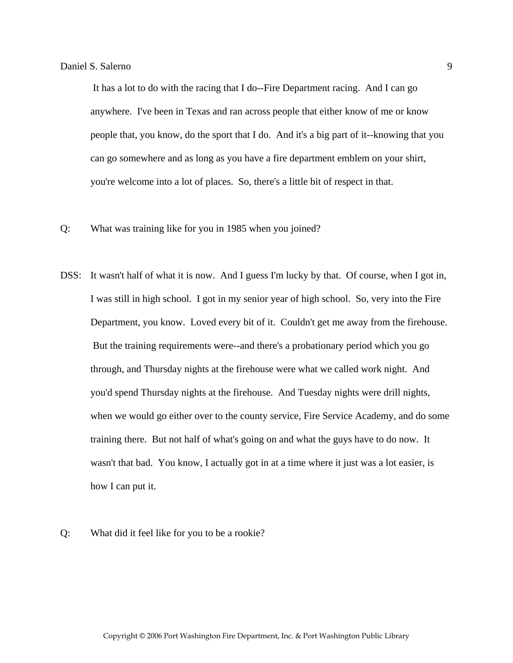It has a lot to do with the racing that I do--Fire Department racing. And I can go anywhere. I've been in Texas and ran across people that either know of me or know people that, you know, do the sport that I do. And it's a big part of it--knowing that you can go somewhere and as long as you have a fire department emblem on your shirt, you're welcome into a lot of places. So, there's a little bit of respect in that.

- Q: What was training like for you in 1985 when you joined?
- DSS: It wasn't half of what it is now. And I guess I'm lucky by that. Of course, when I got in, I was still in high school. I got in my senior year of high school. So, very into the Fire Department, you know. Loved every bit of it. Couldn't get me away from the firehouse. But the training requirements were--and there's a probationary period which you go through, and Thursday nights at the firehouse were what we called work night. And you'd spend Thursday nights at the firehouse. And Tuesday nights were drill nights, when we would go either over to the county service, Fire Service Academy, and do some training there. But not half of what's going on and what the guys have to do now. It wasn't that bad. You know, I actually got in at a time where it just was a lot easier, is how I can put it.
- Q: What did it feel like for you to be a rookie?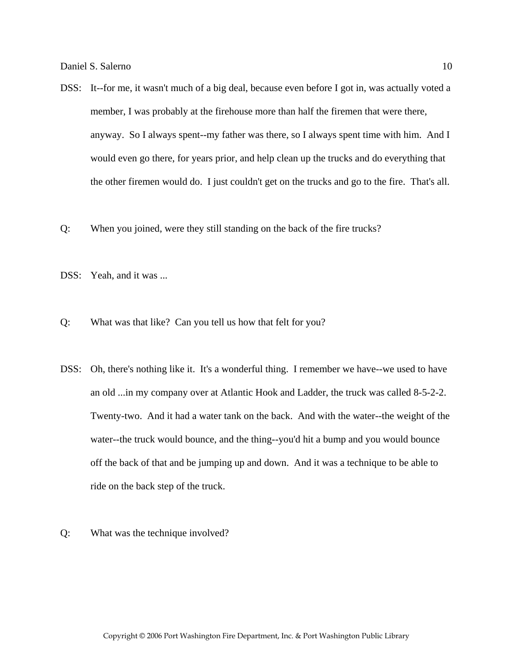- DSS: It--for me, it wasn't much of a big deal, because even before I got in, was actually voted a member, I was probably at the firehouse more than half the firemen that were there, anyway. So I always spent--my father was there, so I always spent time with him. And I would even go there, for years prior, and help clean up the trucks and do everything that the other firemen would do. I just couldn't get on the trucks and go to the fire. That's all.
- Q: When you joined, were they still standing on the back of the fire trucks?
- DSS: Yeah, and it was ...
- Q: What was that like? Can you tell us how that felt for you?
- DSS: Oh, there's nothing like it. It's a wonderful thing. I remember we have--we used to have an old ...in my company over at Atlantic Hook and Ladder, the truck was called 8-5-2-2. Twenty-two. And it had a water tank on the back. And with the water--the weight of the water--the truck would bounce, and the thing--you'd hit a bump and you would bounce off the back of that and be jumping up and down. And it was a technique to be able to ride on the back step of the truck.
- Q: What was the technique involved?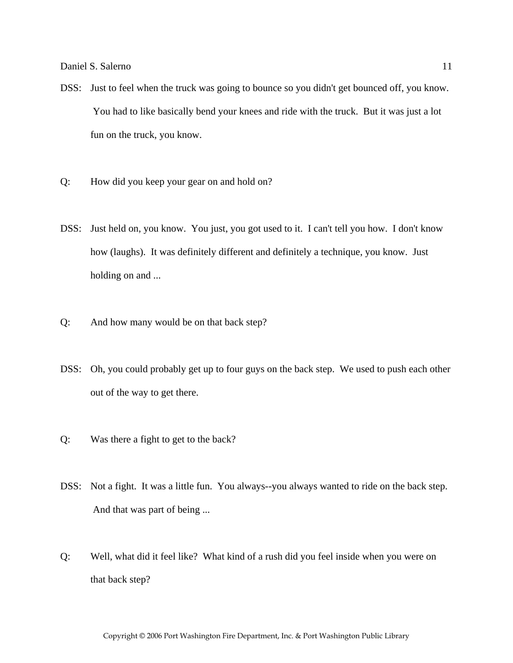- DSS: Just to feel when the truck was going to bounce so you didn't get bounced off, you know. You had to like basically bend your knees and ride with the truck. But it was just a lot fun on the truck, you know.
- Q: How did you keep your gear on and hold on?
- DSS: Just held on, you know. You just, you got used to it. I can't tell you how. I don't know how (laughs). It was definitely different and definitely a technique, you know. Just holding on and ...
- Q: And how many would be on that back step?
- DSS: Oh, you could probably get up to four guys on the back step. We used to push each other out of the way to get there.
- Q: Was there a fight to get to the back?
- DSS: Not a fight. It was a little fun. You always--you always wanted to ride on the back step. And that was part of being ...
- Q: Well, what did it feel like? What kind of a rush did you feel inside when you were on that back step?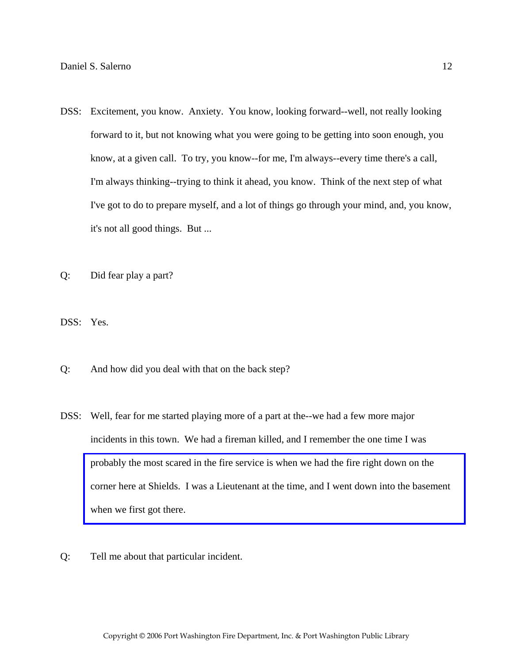- DSS: Excitement, you know. Anxiety. You know, looking forward--well, not really looking forward to it, but not knowing what you were going to be getting into soon enough, you know, at a given call. To try, you know--for me, I'm always--every time there's a call, I'm always thinking--trying to think it ahead, you know. Think of the next step of what I've got to do to prepare myself, and a lot of things go through your mind, and, you know, it's not all good things. But ...
- Q: Did fear play a part?

DSS: Yes.

- Q: And how did you deal with that on the back step?
- DSS: Well, fear for me started playing more of a part at the--we had a few more major incidents in this town. We had a fireman killed, and I remember the one time I was probably the most scared in the fire service is when we had the fire right down on the [corner here at Shields. I was a Lieutenant at the time, and I went down into the basement](http://www.pwfdhistory.com/trans/salernod_trans/shieldshdw_pz.pdf)  when we first got there.
- Q: Tell me about that particular incident.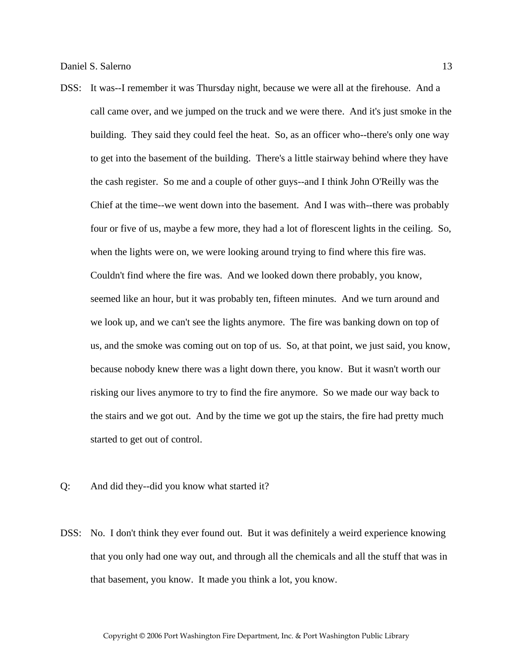- DSS: It was--I remember it was Thursday night, because we were all at the firehouse. And a call came over, and we jumped on the truck and we were there. And it's just smoke in the building. They said they could feel the heat. So, as an officer who--there's only one way to get into the basement of the building. There's a little stairway behind where they have the cash register. So me and a couple of other guys--and I think John O'Reilly was the Chief at the time--we went down into the basement. And I was with--there was probably four or five of us, maybe a few more, they had a lot of florescent lights in the ceiling. So, when the lights were on, we were looking around trying to find where this fire was. Couldn't find where the fire was. And we looked down there probably, you know, seemed like an hour, but it was probably ten, fifteen minutes. And we turn around and we look up, and we can't see the lights anymore. The fire was banking down on top of us, and the smoke was coming out on top of us. So, at that point, we just said, you know, because nobody knew there was a light down there, you know. But it wasn't worth our risking our lives anymore to try to find the fire anymore. So we made our way back to the stairs and we got out. And by the time we got up the stairs, the fire had pretty much started to get out of control.
- Q: And did they--did you know what started it?
- DSS: No. I don't think they ever found out. But it was definitely a weird experience knowing that you only had one way out, and through all the chemicals and all the stuff that was in that basement, you know. It made you think a lot, you know.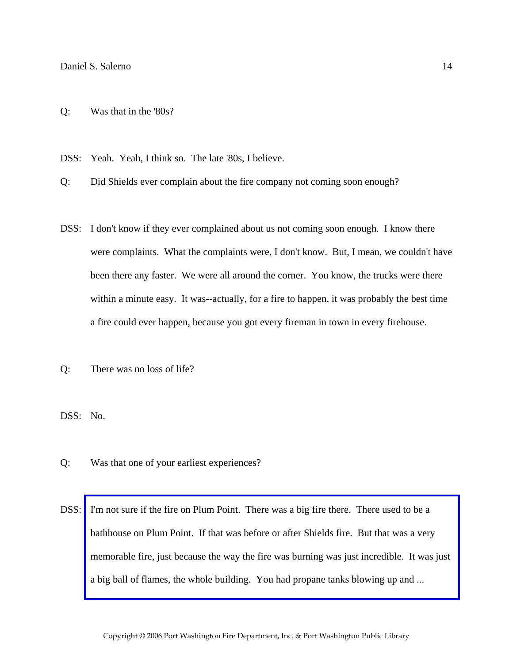Q: Was that in the '80s?

DSS: Yeah. Yeah, I think so. The late '80s, I believe.

Q: Did Shields ever complain about the fire company not coming soon enough?

- DSS: I don't know if they ever complained about us not coming soon enough. I know there were complaints. What the complaints were, I don't know. But, I mean, we couldn't have been there any faster. We were all around the corner. You know, the trucks were there within a minute easy. It was--actually, for a fire to happen, it was probably the best time a fire could ever happen, because you got every fireman in town in every firehouse.
- Q: There was no loss of life?

DSS: No.

- Q: Was that one of your earliest experiences?
- DSS: I'm not sure if the fire on Plum Point. There was a big fire there. There used to be a bathhouse on Plum Point. If that was before or after Shields fire. But that was a very [memorable fire, just because the way the fire was burning was just incredible. It was just](http://www.pwfdhistory.com/trans/salernod_trans/spbathclb_pz_web.pdf)  a big ball of flames, the whole building. You had propane tanks blowing up and ...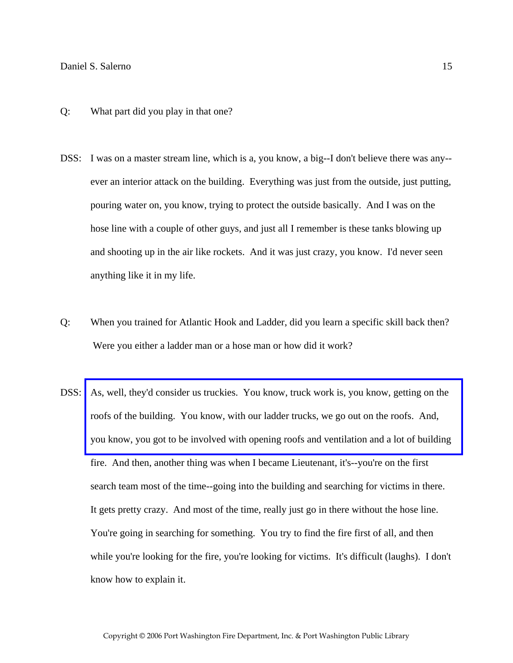- Q: What part did you play in that one?
- DSS: I was on a master stream line, which is a, you know, a big--I don't believe there was any- ever an interior attack on the building. Everything was just from the outside, just putting, pouring water on, you know, trying to protect the outside basically. And I was on the hose line with a couple of other guys, and just all I remember is these tanks blowing up and shooting up in the air like rockets. And it was just crazy, you know. I'd never seen anything like it in my life.
- Q: When you trained for Atlantic Hook and Ladder, did you learn a specific skill back then? Were you either a ladder man or a hose man or how did it work?
- DSS: [As, well, they'd consider us truckies. You know, truck work is, you know, getting on the](http://www.pwfdhistory.com/trans/salernod_trans/pwfd_fires16_web.jpg)  roofs of the building. You know, with our ladder trucks, we go out on the roofs. And, you know, you got to be involved with opening roofs and ventilation and a lot of building fire. And then, another thing was when I became Lieutenant, it's--you're on the first search team most of the time--going into the building and searching for victims in there. It gets pretty crazy. And most of the time, really just go in there without the hose line. You're going in searching for something. You try to find the fire first of all, and then while you're looking for the fire, you're looking for victims. It's difficult (laughs). I don't know how to explain it.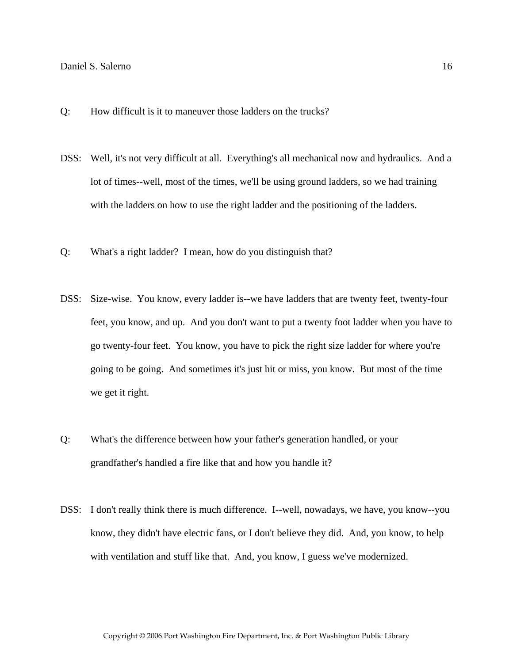- Q: How difficult is it to maneuver those ladders on the trucks?
- DSS: Well, it's not very difficult at all. Everything's all mechanical now and hydraulics. And a lot of times--well, most of the times, we'll be using ground ladders, so we had training with the ladders on how to use the right ladder and the positioning of the ladders.
- Q: What's a right ladder? I mean, how do you distinguish that?
- DSS: Size-wise. You know, every ladder is--we have ladders that are twenty feet, twenty-four feet, you know, and up. And you don't want to put a twenty foot ladder when you have to go twenty-four feet. You know, you have to pick the right size ladder for where you're going to be going. And sometimes it's just hit or miss, you know. But most of the time we get it right.
- Q: What's the difference between how your father's generation handled, or your grandfather's handled a fire like that and how you handle it?
- DSS: I don't really think there is much difference. I--well, nowadays, we have, you know--you know, they didn't have electric fans, or I don't believe they did. And, you know, to help with ventilation and stuff like that. And, you know, I guess we've modernized.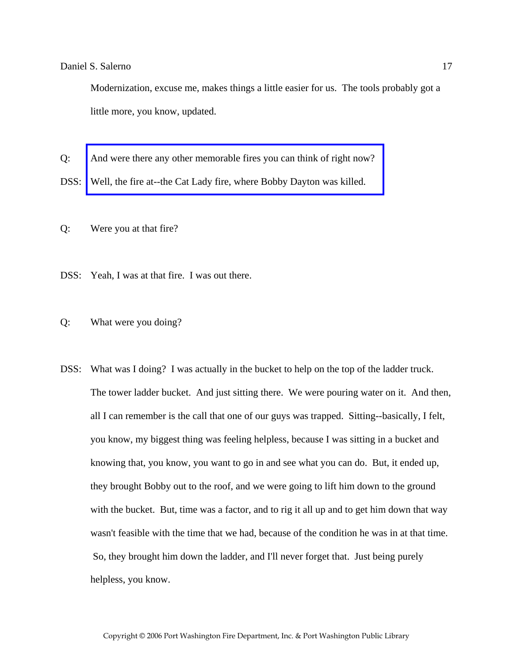Modernization, excuse me, makes things a little easier for us. The tools probably got a little more, you know, updated.

Q: [And were there any other memorable fires you can think of right now?](http://www.pwfdhistory.com/trans/salernod_trans/pnews881201_pz.pdf) 

DSS: Well, the fire at--the Cat Lady fire, where Bobby Dayton was killed.

Q: Were you at that fire?

DSS: Yeah, I was at that fire. I was out there.

Q: What were you doing?

DSS: What was I doing? I was actually in the bucket to help on the top of the ladder truck. The tower ladder bucket. And just sitting there. We were pouring water on it. And then, all I can remember is the call that one of our guys was trapped. Sitting--basically, I felt, you know, my biggest thing was feeling helpless, because I was sitting in a bucket and knowing that, you know, you want to go in and see what you can do. But, it ended up, they brought Bobby out to the roof, and we were going to lift him down to the ground with the bucket. But, time was a factor, and to rig it all up and to get him down that way wasn't feasible with the time that we had, because of the condition he was in at that time. So, they brought him down the ladder, and I'll never forget that. Just being purely helpless, you know.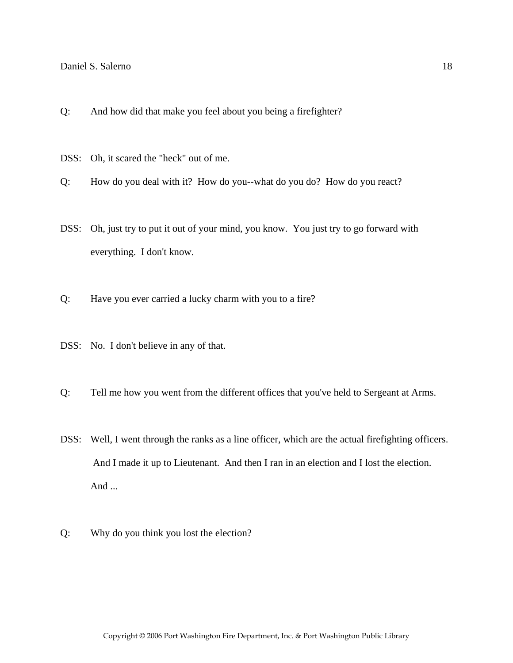- Q: And how did that make you feel about you being a firefighter?
- DSS: Oh, it scared the "heck" out of me.
- Q: How do you deal with it? How do you--what do you do? How do you react?
- DSS: Oh, just try to put it out of your mind, you know. You just try to go forward with everything. I don't know.
- Q: Have you ever carried a lucky charm with you to a fire?
- DSS: No. I don't believe in any of that.
- Q: Tell me how you went from the different offices that you've held to Sergeant at Arms.
- DSS: Well, I went through the ranks as a line officer, which are the actual firefighting officers. And I made it up to Lieutenant. And then I ran in an election and I lost the election. And ...
- Q: Why do you think you lost the election?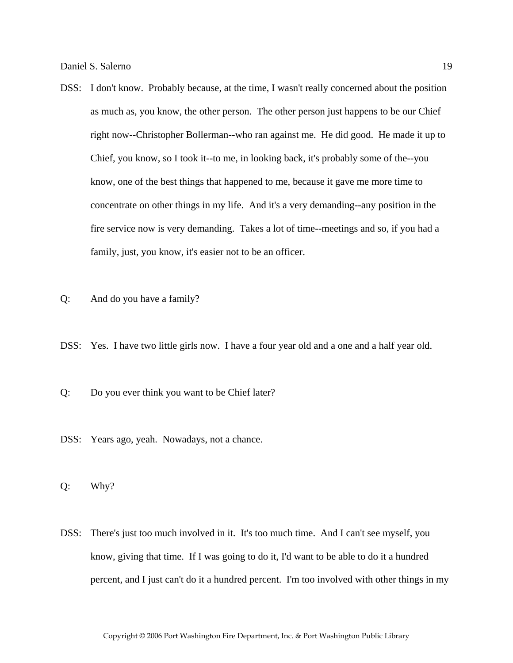- DSS: I don't know. Probably because, at the time, I wasn't really concerned about the position as much as, you know, the other person. The other person just happens to be our Chief right now--Christopher Bollerman--who ran against me. He did good. He made it up to Chief, you know, so I took it--to me, in looking back, it's probably some of the--you know, one of the best things that happened to me, because it gave me more time to concentrate on other things in my life. And it's a very demanding--any position in the fire service now is very demanding. Takes a lot of time--meetings and so, if you had a family, just, you know, it's easier not to be an officer.
- Q: And do you have a family?
- DSS: Yes. I have two little girls now. I have a four year old and a one and a half year old.
- Q: Do you ever think you want to be Chief later?
- DSS: Years ago, yeah. Nowadays, not a chance.

Q: Why?

DSS: There's just too much involved in it. It's too much time. And I can't see myself, you know, giving that time. If I was going to do it, I'd want to be able to do it a hundred percent, and I just can't do it a hundred percent. I'm too involved with other things in my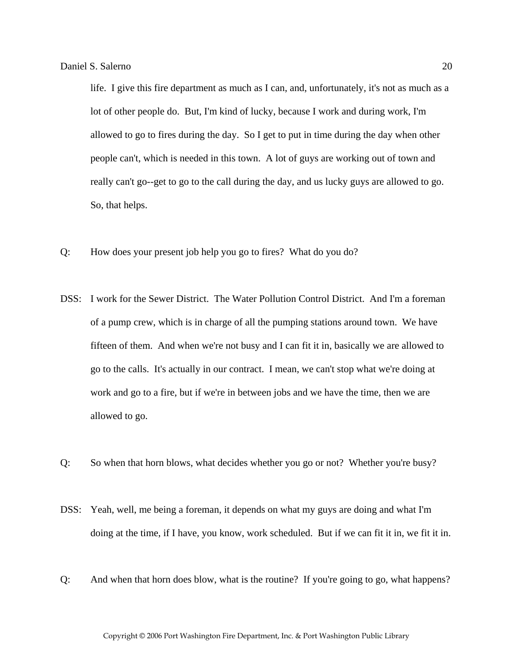life. I give this fire department as much as I can, and, unfortunately, it's not as much as a lot of other people do. But, I'm kind of lucky, because I work and during work, I'm allowed to go to fires during the day. So I get to put in time during the day when other people can't, which is needed in this town. A lot of guys are working out of town and really can't go--get to go to the call during the day, and us lucky guys are allowed to go. So, that helps.

- Q: How does your present job help you go to fires? What do you do?
- DSS: I work for the Sewer District. The Water Pollution Control District. And I'm a foreman of a pump crew, which is in charge of all the pumping stations around town. We have fifteen of them. And when we're not busy and I can fit it in, basically we are allowed to go to the calls. It's actually in our contract. I mean, we can't stop what we're doing at work and go to a fire, but if we're in between jobs and we have the time, then we are allowed to go.
- Q: So when that horn blows, what decides whether you go or not? Whether you're busy?
- DSS: Yeah, well, me being a foreman, it depends on what my guys are doing and what I'm doing at the time, if I have, you know, work scheduled. But if we can fit it in, we fit it in.
- Q: And when that horn does blow, what is the routine? If you're going to go, what happens?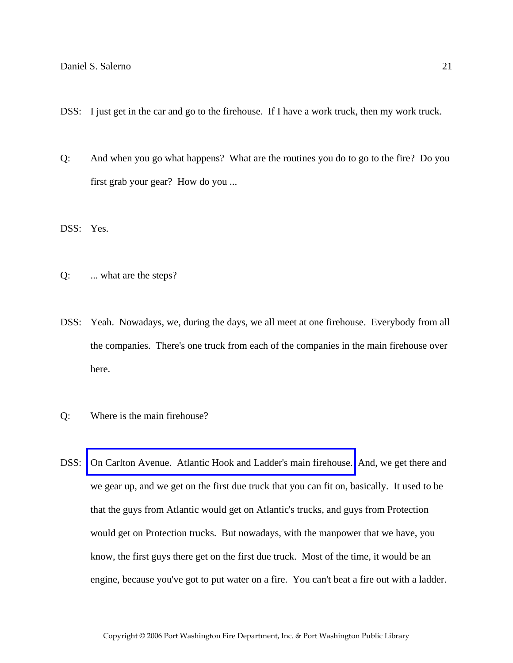- DSS: I just get in the car and go to the firehouse. If I have a work truck, then my work truck.
- Q: And when you go what happens? What are the routines you do to go to the fire? Do you first grab your gear? How do you ...

DSS: Yes.

- Q: ... what are the steps?
- DSS: Yeah. Nowadays, we, during the days, we all meet at one firehouse. Everybody from all the companies. There's one truck from each of the companies in the main firehouse over here.
- Q: Where is the main firehouse?
- DSS: [On Carlton Avenue. Atlantic Hook and Ladder's main firehouse.](http://www.pwfdhistory.com/trans/salernod_trans/ahlco_bldg03_web.jpg) And, we get there and we gear up, and we get on the first due truck that you can fit on, basically. It used to be that the guys from Atlantic would get on Atlantic's trucks, and guys from Protection would get on Protection trucks. But nowadays, with the manpower that we have, you know, the first guys there get on the first due truck. Most of the time, it would be an engine, because you've got to put water on a fire. You can't beat a fire out with a ladder.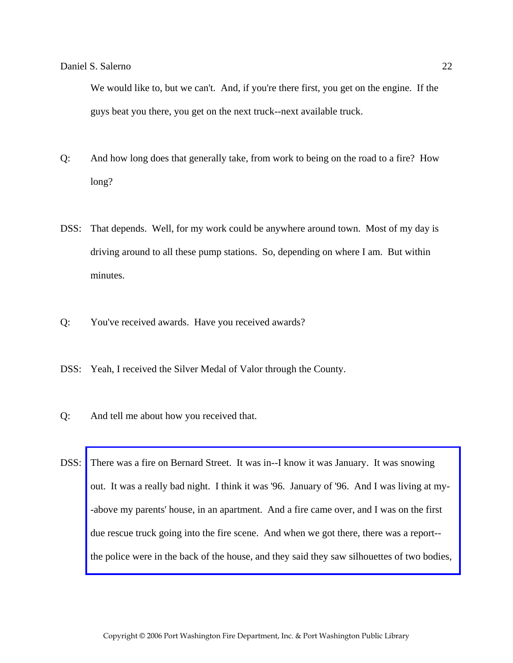We would like to, but we can't. And, if you're there first, you get on the engine. If the guys beat you there, you get on the next truck--next available truck.

- Q: And how long does that generally take, from work to being on the road to a fire? How long?
- DSS: That depends. Well, for my work could be anywhere around town. Most of my day is driving around to all these pump stations. So, depending on where I am. But within minutes.
- Q: You've received awards. Have you received awards?
- DSS: Yeah, I received the Silver Medal of Valor through the County.
- Q: And tell me about how you received that.
- DSS: There was a fire on Bernard Street. It was in--I know it was January. It was snowing out. It was a really bad night. I think it was '96. January of '96. And I was living at my- -above my parents' house, in an apartment. And a fire came over, and I was on the first due rescue truck going into the fire scene. And when we got there, there was a report- [the police were in the back of the house, and they said they saw silhouettes of two bodies,](http://www.pwfdhistory.com/trans/salernod_trans/news_bernardst04_960208_hw.pdf)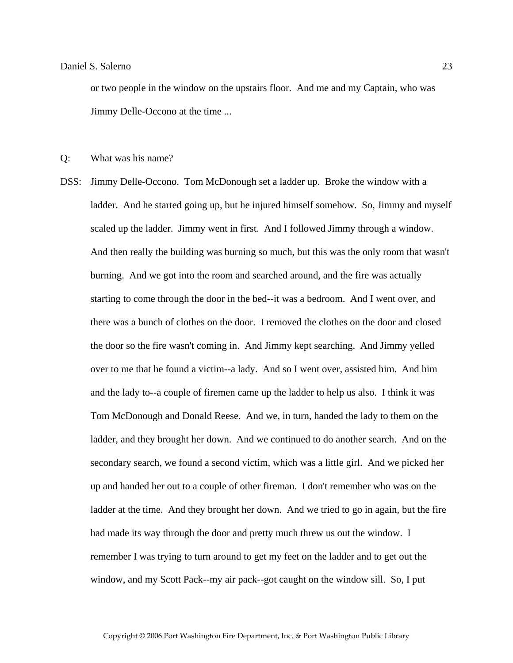or two people in the window on the upstairs floor. And me and my Captain, who was Jimmy Delle-Occono at the time ...

Q: What was his name?

DSS: Jimmy Delle-Occono. Tom McDonough set a ladder up. Broke the window with a ladder. And he started going up, but he injured himself somehow. So, Jimmy and myself scaled up the ladder. Jimmy went in first. And I followed Jimmy through a window. And then really the building was burning so much, but this was the only room that wasn't burning. And we got into the room and searched around, and the fire was actually starting to come through the door in the bed--it was a bedroom. And I went over, and there was a bunch of clothes on the door. I removed the clothes on the door and closed the door so the fire wasn't coming in. And Jimmy kept searching. And Jimmy yelled over to me that he found a victim--a lady. And so I went over, assisted him. And him and the lady to--a couple of firemen came up the ladder to help us also. I think it was Tom McDonough and Donald Reese. And we, in turn, handed the lady to them on the ladder, and they brought her down. And we continued to do another search. And on the secondary search, we found a second victim, which was a little girl. And we picked her up and handed her out to a couple of other fireman. I don't remember who was on the ladder at the time. And they brought her down. And we tried to go in again, but the fire had made its way through the door and pretty much threw us out the window. I remember I was trying to turn around to get my feet on the ladder and to get out the window, and my Scott Pack--my air pack--got caught on the window sill. So, I put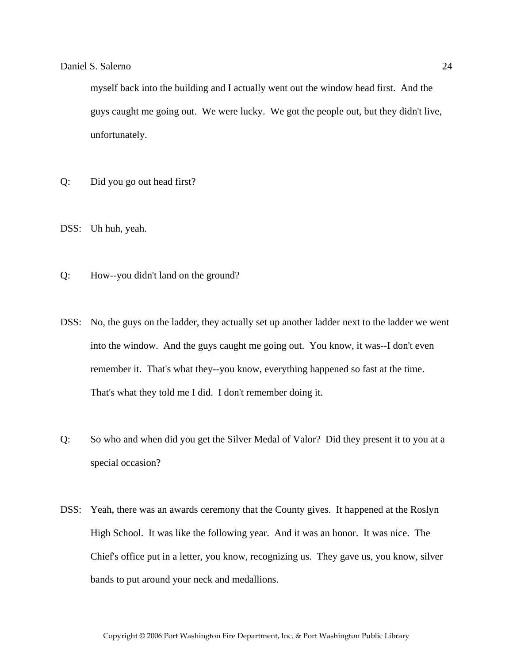myself back into the building and I actually went out the window head first. And the guys caught me going out. We were lucky. We got the people out, but they didn't live, unfortunately.

- Q: Did you go out head first?
- DSS: Uh huh, yeah.
- Q: How--you didn't land on the ground?
- DSS: No, the guys on the ladder, they actually set up another ladder next to the ladder we went into the window. And the guys caught me going out. You know, it was--I don't even remember it. That's what they--you know, everything happened so fast at the time. That's what they told me I did. I don't remember doing it.
- Q: So who and when did you get the Silver Medal of Valor? Did they present it to you at a special occasion?
- DSS: Yeah, there was an awards ceremony that the County gives. It happened at the Roslyn High School. It was like the following year. And it was an honor. It was nice. The Chief's office put in a letter, you know, recognizing us. They gave us, you know, silver bands to put around your neck and medallions.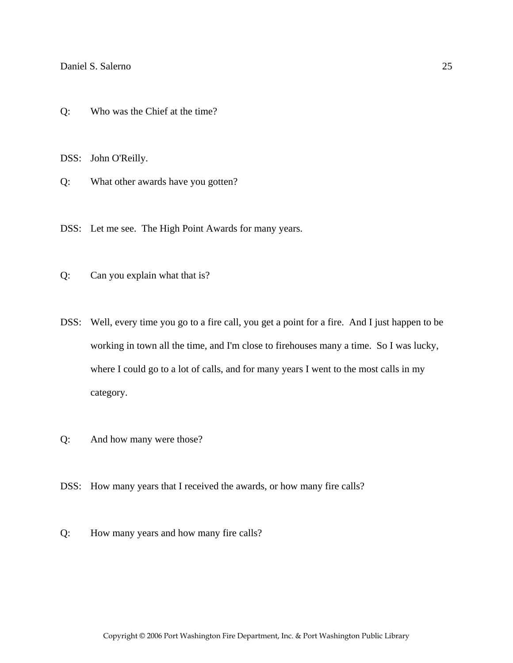Q: Who was the Chief at the time?

DSS: John O'Reilly.

Q: What other awards have you gotten?

DSS: Let me see. The High Point Awards for many years.

- Q: Can you explain what that is?
- DSS: Well, every time you go to a fire call, you get a point for a fire. And I just happen to be working in town all the time, and I'm close to firehouses many a time. So I was lucky, where I could go to a lot of calls, and for many years I went to the most calls in my category.
- Q: And how many were those?
- DSS: How many years that I received the awards, or how many fire calls?
- Q: How many years and how many fire calls?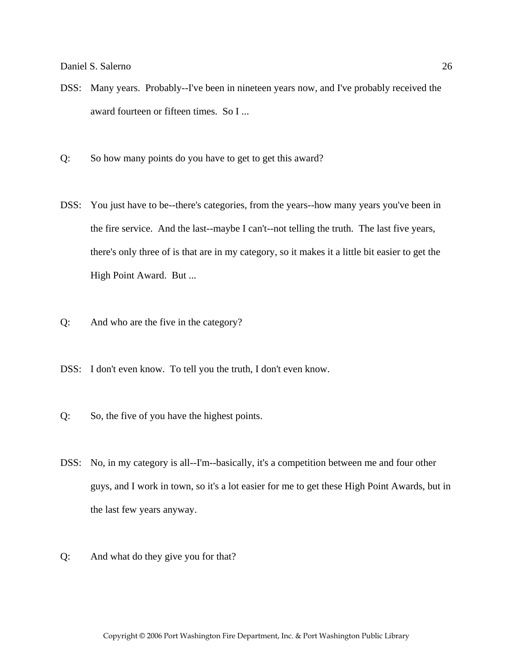- DSS: Many years. Probably--I've been in nineteen years now, and I've probably received the award fourteen or fifteen times. So I ...
- Q: So how many points do you have to get to get this award?
- DSS: You just have to be--there's categories, from the years--how many years you've been in the fire service. And the last--maybe I can't--not telling the truth. The last five years, there's only three of is that are in my category, so it makes it a little bit easier to get the High Point Award. But ...
- Q: And who are the five in the category?
- DSS: I don't even know. To tell you the truth, I don't even know.
- Q: So, the five of you have the highest points.
- DSS: No, in my category is all--I'm--basically, it's a competition between me and four other guys, and I work in town, so it's a lot easier for me to get these High Point Awards, but in the last few years anyway.
- Q: And what do they give you for that?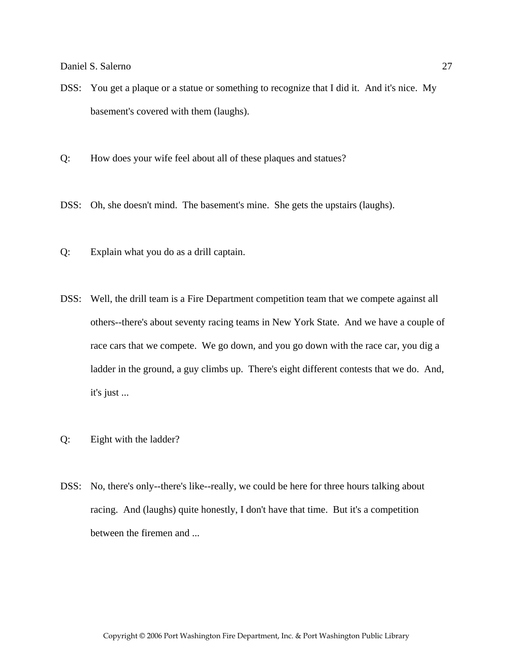- DSS: You get a plaque or a statue or something to recognize that I did it. And it's nice. My basement's covered with them (laughs).
- Q: How does your wife feel about all of these plaques and statues?
- DSS: Oh, she doesn't mind. The basement's mine. She gets the upstairs (laughs).
- Q: Explain what you do as a drill captain.
- DSS: Well, the drill team is a Fire Department competition team that we compete against all others--there's about seventy racing teams in New York State. And we have a couple of race cars that we compete. We go down, and you go down with the race car, you dig a ladder in the ground, a guy climbs up. There's eight different contests that we do. And, it's just ...
- Q: Eight with the ladder?
- DSS: No, there's only--there's like--really, we could be here for three hours talking about racing. And (laughs) quite honestly, I don't have that time. But it's a competition between the firemen and ...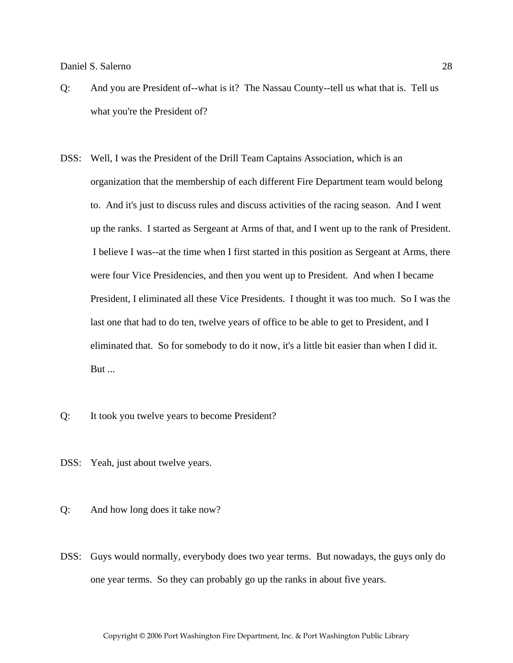- Q: And you are President of--what is it? The Nassau County--tell us what that is. Tell us what you're the President of?
- DSS: Well, I was the President of the Drill Team Captains Association, which is an organization that the membership of each different Fire Department team would belong to. And it's just to discuss rules and discuss activities of the racing season. And I went up the ranks. I started as Sergeant at Arms of that, and I went up to the rank of President. I believe I was--at the time when I first started in this position as Sergeant at Arms, there were four Vice Presidencies, and then you went up to President. And when I became President, I eliminated all these Vice Presidents. I thought it was too much. So I was the last one that had to do ten, twelve years of office to be able to get to President, and I eliminated that. So for somebody to do it now, it's a little bit easier than when I did it. But ...
- Q: It took you twelve years to become President?
- DSS: Yeah, just about twelve years.

Q: And how long does it take now?

DSS: Guys would normally, everybody does two year terms. But nowadays, the guys only do one year terms. So they can probably go up the ranks in about five years.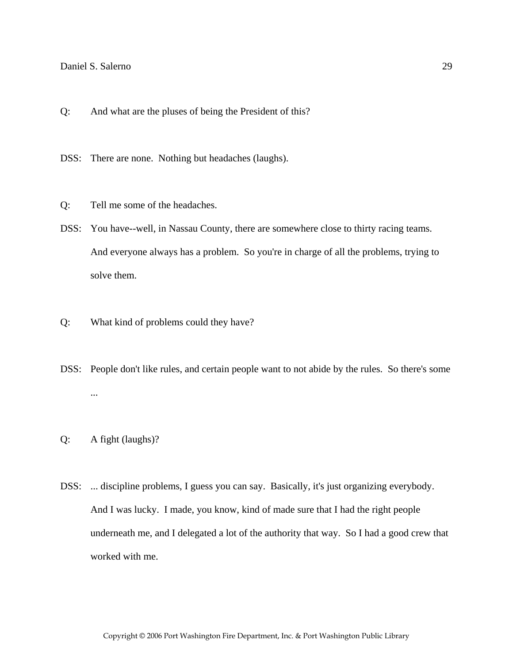Q: And what are the pluses of being the President of this?

DSS: There are none. Nothing but headaches (laughs).

- Q: Tell me some of the headaches.
- DSS: You have--well, in Nassau County, there are somewhere close to thirty racing teams. And everyone always has a problem. So you're in charge of all the problems, trying to solve them.
- Q: What kind of problems could they have?
- DSS: People don't like rules, and certain people want to not abide by the rules. So there's some ...
- Q: A fight (laughs)?
- DSS: ... discipline problems, I guess you can say. Basically, it's just organizing everybody. And I was lucky. I made, you know, kind of made sure that I had the right people underneath me, and I delegated a lot of the authority that way. So I had a good crew that worked with me.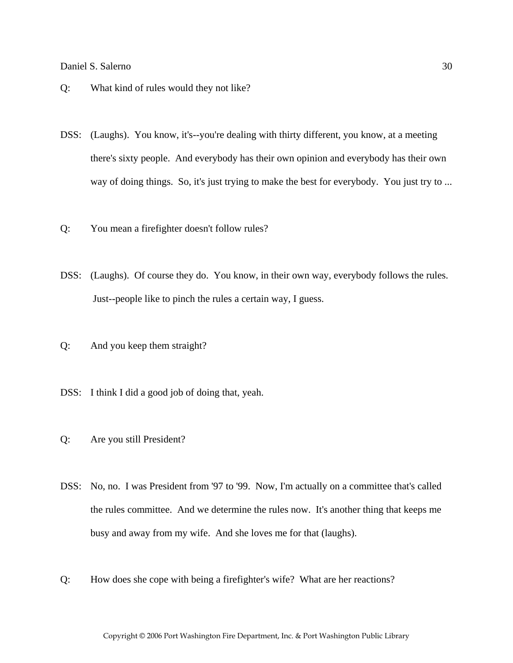- Q: What kind of rules would they not like?
- DSS: (Laughs). You know, it's--you're dealing with thirty different, you know, at a meeting there's sixty people. And everybody has their own opinion and everybody has their own way of doing things. So, it's just trying to make the best for everybody. You just try to ...
- Q: You mean a firefighter doesn't follow rules?
- DSS: (Laughs). Of course they do. You know, in their own way, everybody follows the rules. Just--people like to pinch the rules a certain way, I guess.
- Q: And you keep them straight?
- DSS: I think I did a good job of doing that, yeah.
- Q: Are you still President?
- DSS: No, no. I was President from '97 to '99. Now, I'm actually on a committee that's called the rules committee. And we determine the rules now. It's another thing that keeps me busy and away from my wife. And she loves me for that (laughs).
- Q: How does she cope with being a firefighter's wife? What are her reactions?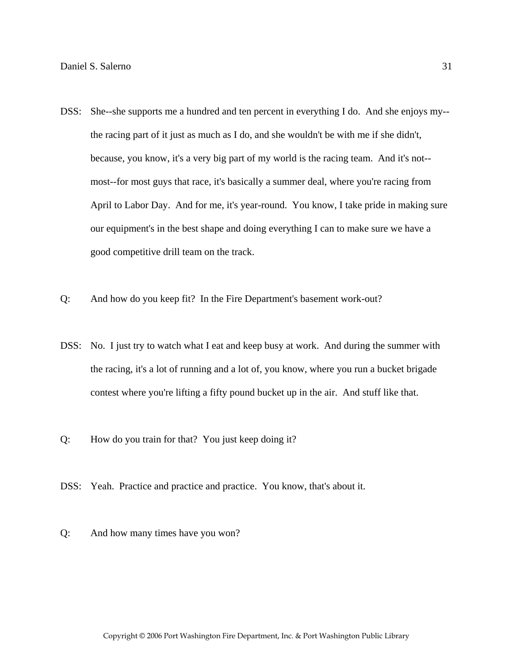- DSS: She--she supports me a hundred and ten percent in everything I do. And she enjoys my- the racing part of it just as much as I do, and she wouldn't be with me if she didn't, because, you know, it's a very big part of my world is the racing team. And it's not- most--for most guys that race, it's basically a summer deal, where you're racing from April to Labor Day. And for me, it's year-round. You know, I take pride in making sure our equipment's in the best shape and doing everything I can to make sure we have a good competitive drill team on the track.
- Q: And how do you keep fit? In the Fire Department's basement work-out?
- DSS: No. I just try to watch what I eat and keep busy at work. And during the summer with the racing, it's a lot of running and a lot of, you know, where you run a bucket brigade contest where you're lifting a fifty pound bucket up in the air. And stuff like that.
- Q: How do you train for that? You just keep doing it?
- DSS: Yeah. Practice and practice and practice. You know, that's about it.
- Q: And how many times have you won?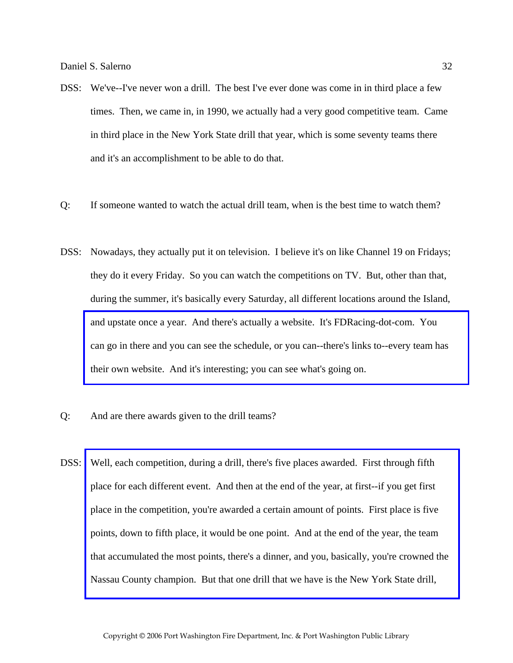- DSS: We've--I've never won a drill. The best I've ever done was come in in third place a few times. Then, we came in, in 1990, we actually had a very good competitive team. Came in third place in the New York State drill that year, which is some seventy teams there and it's an accomplishment to be able to do that.
- Q: If someone wanted to watch the actual drill team, when is the best time to watch them?
- DSS: Nowadays, they actually put it on television. I believe it's on like Channel 19 on Fridays; they do it every Friday. So you can watch the competitions on TV. But, other than that, during the summer, it's basically every Saturday, all different locations around the Island, and upstate once a year. And there's actually a website. It's FDRacing-dot-com. You [can go in there and you can see the schedule, or you can--there's links to--every team has](http://www.nysdrillteams.com)  their own website. And it's interesting; you can see what's going on.
- Q: And are there awards given to the drill teams?
- DSS: Well, each competition, during a drill, there's five places awarded. First through fifth place for each different event. And then at the end of the year, at first--if you get first place in the competition, you're awarded a certain amount of points. First place is five points, down to fifth place, it would be one point. And at the end of the year, the team [that accumulated the most points, there's a dinner, and you, basically, you're crowned the](http://www.pwfdhistory.com/trans/salernod_trans/pwfd_racing006_web.jpg)  Nassau County champion. But that one drill that we have is the New York State drill,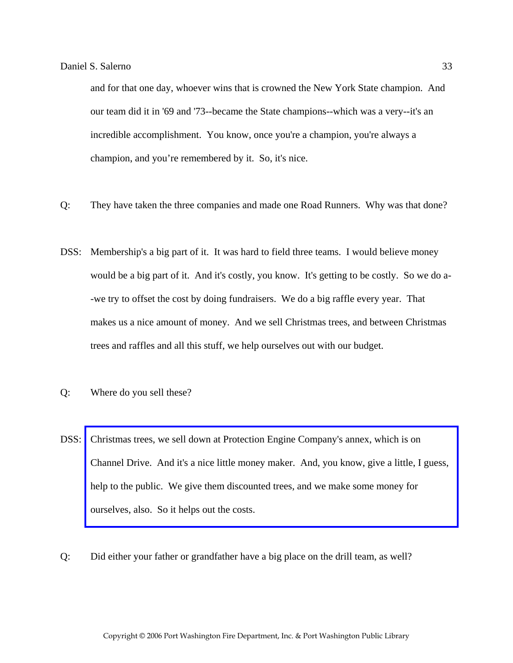and for that one day, whoever wins that is crowned the New York State champion. And our team did it in '69 and '73--became the State champions--which was a very--it's an incredible accomplishment. You know, once you're a champion, you're always a champion, and you're remembered by it. So, it's nice.

- Q: They have taken the three companies and made one Road Runners. Why was that done?
- DSS: Membership's a big part of it. It was hard to field three teams. I would believe money would be a big part of it. And it's costly, you know. It's getting to be costly. So we do a- -we try to offset the cost by doing fundraisers. We do a big raffle every year. That makes us a nice amount of money. And we sell Christmas trees, and between Christmas trees and raffles and all this stuff, we help ourselves out with our budget.
- Q: Where do you sell these?
- DSS: Christmas trees, we sell down at Protection Engine Company's annex, which is on [Channel Drive. And it's a nice little money maker. And, you know, give a little, I guess,](http://www.pwfdhistory.com/trans/salernod_trans/pwfd_members003_web.jpg)  help to the public. We give them discounted trees, and we make some money for ourselves, also. So it helps out the costs.
- Q: Did either your father or grandfather have a big place on the drill team, as well?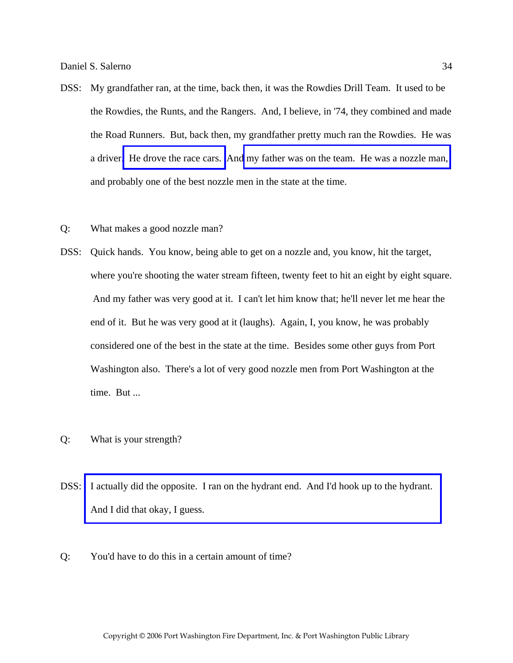- DSS: My grandfather ran, at the time, back then, it was the Rowdies Drill Team. It used to be the Rowdies, the Runts, and the Rangers. And, I believe, in '74, they combined and made the Road Runners. But, back then, my grandfather pretty much ran the Rowdies. He was a driver[. He drove the race cars.](http://www.pwfdhistory.com/trans/salernod_trans/news_cocks056a.jpg) An[d my father was on the team. He was a nozzle man,](http://www.pwfdhistory.com/trans/salernod_trans/ahlco_racing17_web.jpg)  and probably one of the best nozzle men in the state at the time.
- Q: What makes a good nozzle man?
- DSS: Quick hands. You know, being able to get on a nozzle and, you know, hit the target, where you're shooting the water stream fifteen, twenty feet to hit an eight by eight square. And my father was very good at it. I can't let him know that; he'll never let me hear the end of it. But he was very good at it (laughs). Again, I, you know, he was probably considered one of the best in the state at the time. Besides some other guys from Port Washington also. There's a lot of very good nozzle men from Port Washington at the time. But ...
- Q: What is your strength?
- DSS: [I actually did the opposite. I ran on the hydrant end. And I'd hook up to the hydrant.](http://www.pwfdhistory.com/trans/salernod_trans/pwfd_racing028.jpg)  And I did that okay, I guess.
- Q: You'd have to do this in a certain amount of time?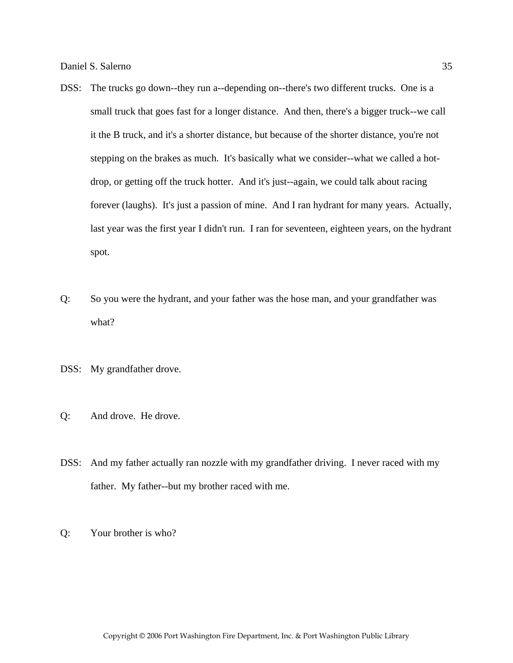- DSS: The trucks go down--they run a--depending on--there's two different trucks. One is a small truck that goes fast for a longer distance. And then, there's a bigger truck--we call it the B truck, and it's a shorter distance, but because of the shorter distance, you're not stepping on the brakes as much. It's basically what we consider--what we called a hotdrop, or getting off the truck hotter. And it's just--again, we could talk about racing forever (laughs). It's just a passion of mine. And I ran hydrant for many years. Actually, last year was the first year I didn't run. I ran for seventeen, eighteen years, on the hydrant spot.
- Q: So you were the hydrant, and your father was the hose man, and your grandfather was what?
- DSS: My grandfather drove.
- Q: And drove. He drove.
- DSS: And my father actually ran nozzle with my grandfather driving. I never raced with my father. My father--but my brother raced with me.
- Q: Your brother is who?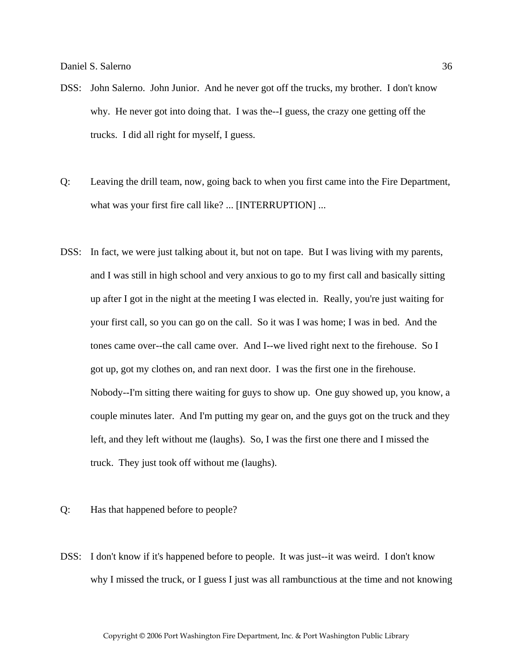- DSS: John Salerno. John Junior. And he never got off the trucks, my brother. I don't know why. He never got into doing that. I was the--I guess, the crazy one getting off the trucks. I did all right for myself, I guess.
- Q: Leaving the drill team, now, going back to when you first came into the Fire Department, what was your first fire call like? ... [INTERRUPTION] ...
- DSS: In fact, we were just talking about it, but not on tape. But I was living with my parents, and I was still in high school and very anxious to go to my first call and basically sitting up after I got in the night at the meeting I was elected in. Really, you're just waiting for your first call, so you can go on the call. So it was I was home; I was in bed. And the tones came over--the call came over. And I--we lived right next to the firehouse. So I got up, got my clothes on, and ran next door. I was the first one in the firehouse. Nobody--I'm sitting there waiting for guys to show up. One guy showed up, you know, a couple minutes later. And I'm putting my gear on, and the guys got on the truck and they left, and they left without me (laughs). So, I was the first one there and I missed the truck. They just took off without me (laughs).
- Q: Has that happened before to people?
- DSS: I don't know if it's happened before to people. It was just--it was weird. I don't know why I missed the truck, or I guess I just was all rambunctious at the time and not knowing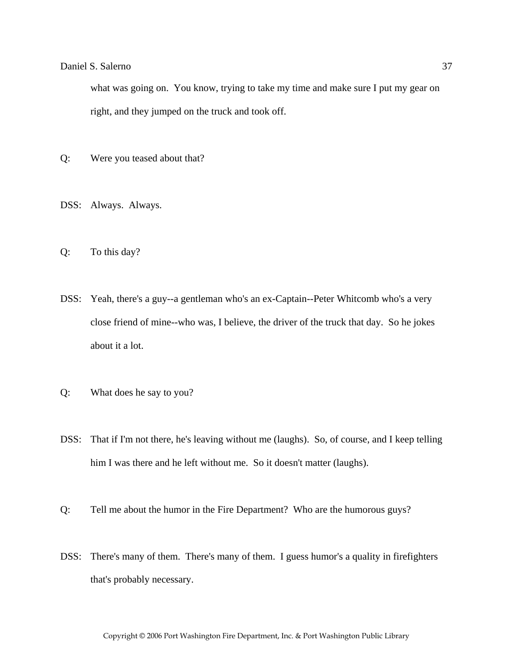what was going on. You know, trying to take my time and make sure I put my gear on right, and they jumped on the truck and took off.

- Q: Were you teased about that?
- DSS: Always. Always.
- Q: To this day?
- DSS: Yeah, there's a guy--a gentleman who's an ex-Captain--Peter Whitcomb who's a very close friend of mine--who was, I believe, the driver of the truck that day. So he jokes about it a lot.
- Q: What does he say to you?
- DSS: That if I'm not there, he's leaving without me (laughs). So, of course, and I keep telling him I was there and he left without me. So it doesn't matter (laughs).
- Q: Tell me about the humor in the Fire Department? Who are the humorous guys?
- DSS: There's many of them. There's many of them. I guess humor's a quality in firefighters that's probably necessary.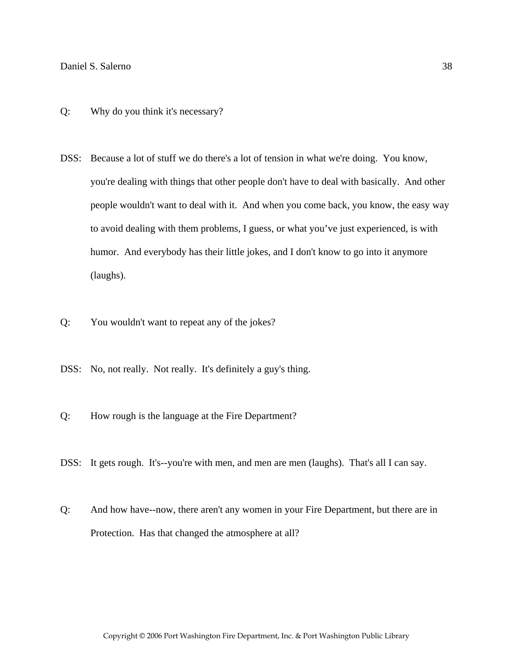- Q: Why do you think it's necessary?
- DSS: Because a lot of stuff we do there's a lot of tension in what we're doing. You know, you're dealing with things that other people don't have to deal with basically. And other people wouldn't want to deal with it. And when you come back, you know, the easy way to avoid dealing with them problems, I guess, or what you've just experienced, is with humor. And everybody has their little jokes, and I don't know to go into it anymore (laughs).
- Q: You wouldn't want to repeat any of the jokes?
- DSS: No, not really. Not really. It's definitely a guy's thing.
- Q: How rough is the language at the Fire Department?
- DSS: It gets rough. It's--you're with men, and men are men (laughs). That's all I can say.
- Q: And how have--now, there aren't any women in your Fire Department, but there are in Protection. Has that changed the atmosphere at all?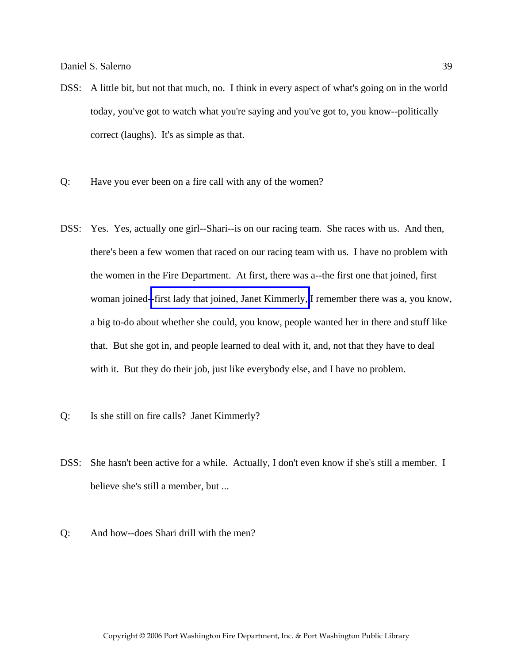- DSS: A little bit, but not that much, no. I think in every aspect of what's going on in the world today, you've got to watch what you're saying and you've got to, you know--politically correct (laughs). It's as simple as that.
- Q: Have you ever been on a fire call with any of the women?
- DSS: Yes. Yes, actually one girl--Shari--is on our racing team. She races with us. And then, there's been a few women that raced on our racing team with us. I have no problem with the women in the Fire Department. At first, there was a--the first one that joined, first woman joined-[-first lady that joined, Janet Kimmerly,](http://www.pwfdhistory.com/trans/salernod_trans/kimmerlya_web.jpg) I remember there was a, you know, a big to-do about whether she could, you know, people wanted her in there and stuff like that. But she got in, and people learned to deal with it, and, not that they have to deal with it. But they do their job, just like everybody else, and I have no problem.
- Q: Is she still on fire calls? Janet Kimmerly?
- DSS: She hasn't been active for a while. Actually, I don't even know if she's still a member. I believe she's still a member, but ...
- Q: And how--does Shari drill with the men?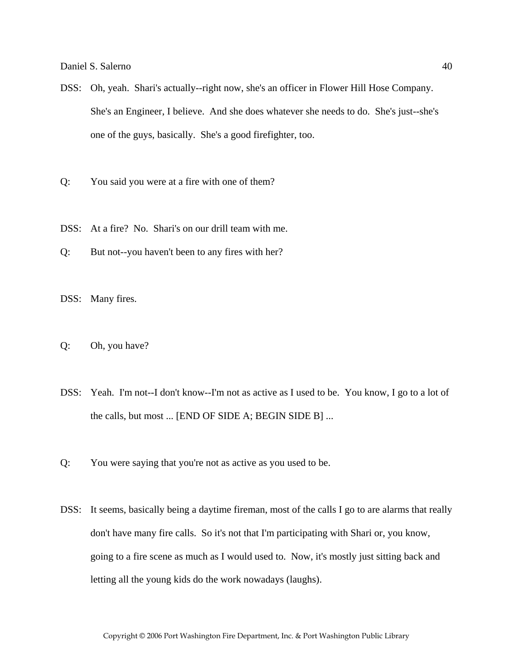- DSS: Oh, yeah. Shari's actually--right now, she's an officer in Flower Hill Hose Company. She's an Engineer, I believe. And she does whatever she needs to do. She's just--she's one of the guys, basically. She's a good firefighter, too.
- Q: You said you were at a fire with one of them?
- DSS: At a fire? No. Shari's on our drill team with me.
- Q: But not--you haven't been to any fires with her?
- DSS: Many fires.
- Q: Oh, you have?
- DSS: Yeah. I'm not--I don't know--I'm not as active as I used to be. You know, I go to a lot of the calls, but most ... [END OF SIDE A; BEGIN SIDE B] ...
- Q: You were saying that you're not as active as you used to be.
- DSS: It seems, basically being a daytime fireman, most of the calls I go to are alarms that really don't have many fire calls. So it's not that I'm participating with Shari or, you know, going to a fire scene as much as I would used to. Now, it's mostly just sitting back and letting all the young kids do the work nowadays (laughs).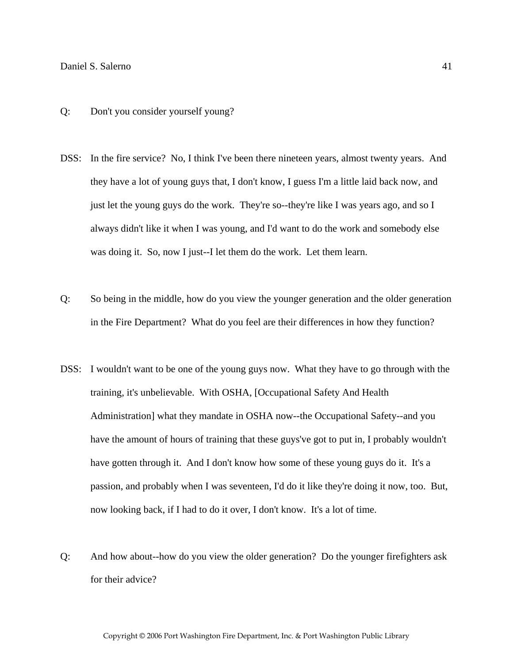- Q: Don't you consider yourself young?
- DSS: In the fire service? No, I think I've been there nineteen years, almost twenty years. And they have a lot of young guys that, I don't know, I guess I'm a little laid back now, and just let the young guys do the work. They're so--they're like I was years ago, and so I always didn't like it when I was young, and I'd want to do the work and somebody else was doing it. So, now I just--I let them do the work. Let them learn.
- Q: So being in the middle, how do you view the younger generation and the older generation in the Fire Department? What do you feel are their differences in how they function?
- DSS: I wouldn't want to be one of the young guys now. What they have to go through with the training, it's unbelievable. With OSHA, [Occupational Safety And Health Administration] what they mandate in OSHA now--the Occupational Safety--and you have the amount of hours of training that these guys've got to put in, I probably wouldn't have gotten through it. And I don't know how some of these young guys do it. It's a passion, and probably when I was seventeen, I'd do it like they're doing it now, too. But, now looking back, if I had to do it over, I don't know. It's a lot of time.
- Q: And how about--how do you view the older generation? Do the younger firefighters ask for their advice?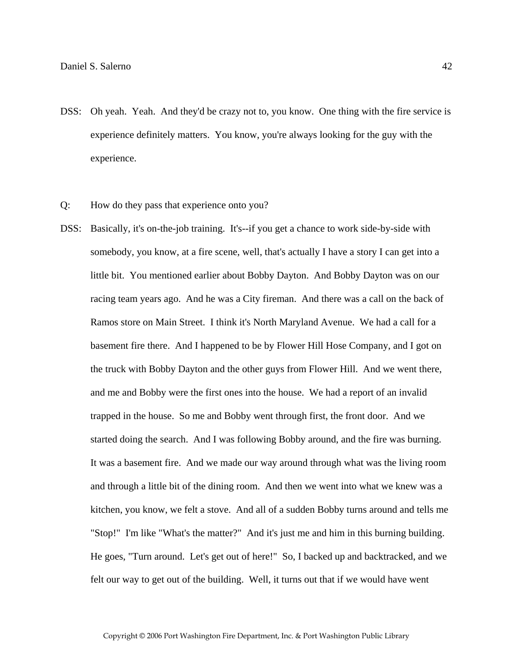- DSS: Oh yeah. Yeah. And they'd be crazy not to, you know. One thing with the fire service is experience definitely matters. You know, you're always looking for the guy with the experience.
- Q: How do they pass that experience onto you?
- DSS: Basically, it's on-the-job training. It's--if you get a chance to work side-by-side with somebody, you know, at a fire scene, well, that's actually I have a story I can get into a little bit. You mentioned earlier about Bobby Dayton. And Bobby Dayton was on our racing team years ago. And he was a City fireman. And there was a call on the back of Ramos store on Main Street. I think it's North Maryland Avenue. We had a call for a basement fire there. And I happened to be by Flower Hill Hose Company, and I got on the truck with Bobby Dayton and the other guys from Flower Hill. And we went there, and me and Bobby were the first ones into the house. We had a report of an invalid trapped in the house. So me and Bobby went through first, the front door. And we started doing the search. And I was following Bobby around, and the fire was burning. It was a basement fire. And we made our way around through what was the living room and through a little bit of the dining room. And then we went into what we knew was a kitchen, you know, we felt a stove. And all of a sudden Bobby turns around and tells me "Stop!" I'm like "What's the matter?" And it's just me and him in this burning building. He goes, "Turn around. Let's get out of here!" So, I backed up and backtracked, and we felt our way to get out of the building. Well, it turns out that if we would have went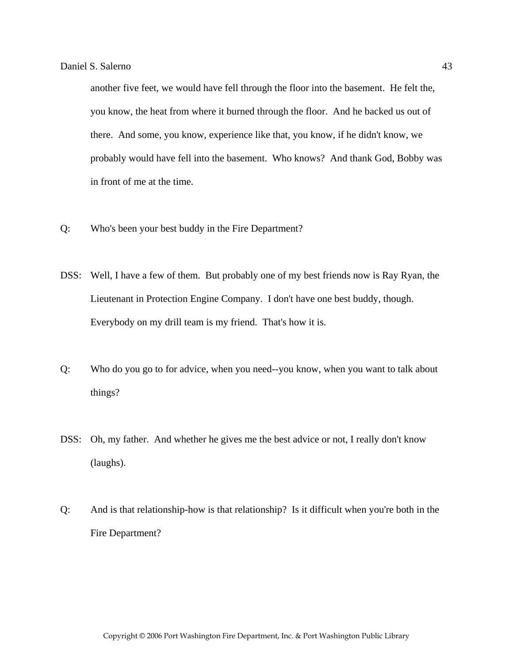another five feet, we would have fell through the floor into the basement. He felt the, you know, the heat from where it burned through the floor. And he backed us out of there. And some, you know, experience like that, you know, if he didn't know, we probably would have fell into the basement. Who knows? And thank God, Bobby was in front of me at the time.

- Q: Who's been your best buddy in the Fire Department?
- DSS: Well, I have a few of them. But probably one of my best friends now is Ray Ryan, the Lieutenant in Protection Engine Company. I don't have one best buddy, though. Everybody on my drill team is my friend. That's how it is.
- Q: Who do you go to for advice, when you need--you know, when you want to talk about things?
- DSS: Oh, my father. And whether he gives me the best advice or not, I really don't know (laughs).
- Q: And is that relationship-how is that relationship? Is it difficult when you're both in the Fire Department?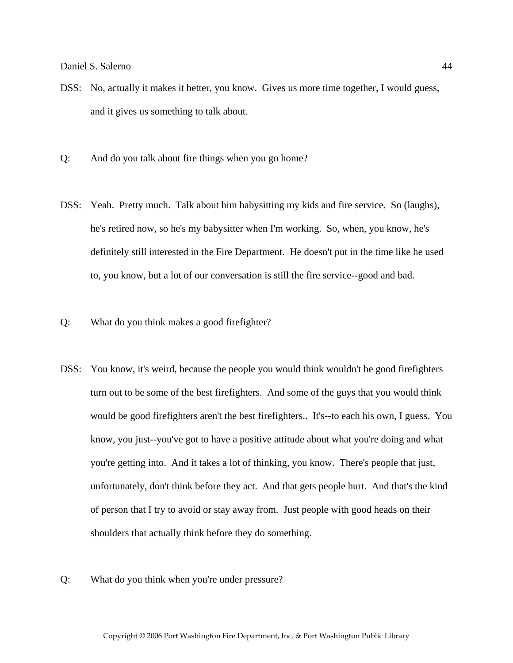- DSS: No, actually it makes it better, you know. Gives us more time together, I would guess, and it gives us something to talk about.
- Q: And do you talk about fire things when you go home?
- DSS: Yeah. Pretty much. Talk about him babysitting my kids and fire service. So (laughs), he's retired now, so he's my babysitter when I'm working. So, when, you know, he's definitely still interested in the Fire Department. He doesn't put in the time like he used to, you know, but a lot of our conversation is still the fire service--good and bad.
- Q: What do you think makes a good firefighter?
- DSS: You know, it's weird, because the people you would think wouldn't be good firefighters turn out to be some of the best firefighters. And some of the guys that you would think would be good firefighters aren't the best firefighters.. It's--to each his own, I guess. You know, you just--you've got to have a positive attitude about what you're doing and what you're getting into. And it takes a lot of thinking, you know. There's people that just, unfortunately, don't think before they act. And that gets people hurt. And that's the kind of person that I try to avoid or stay away from. Just people with good heads on their shoulders that actually think before they do something.
- Q: What do you think when you're under pressure?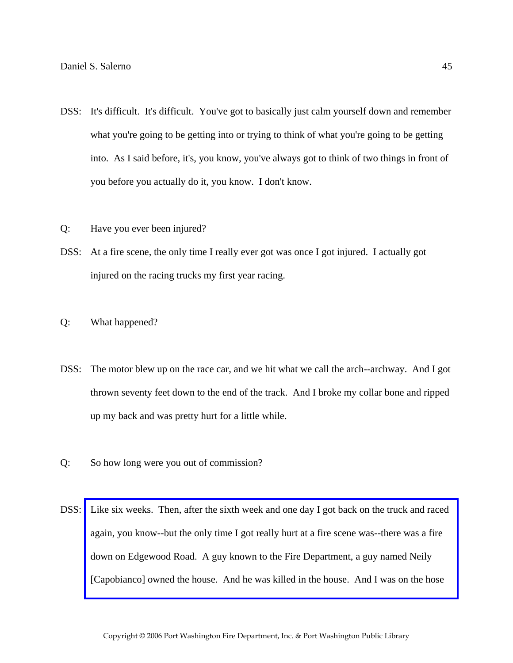- DSS: It's difficult. It's difficult. You've got to basically just calm yourself down and remember what you're going to be getting into or trying to think of what you're going to be getting into. As I said before, it's, you know, you've always got to think of two things in front of you before you actually do it, you know. I don't know.
- Q: Have you ever been injured?
- DSS: At a fire scene, the only time I really ever got was once I got injured. I actually got injured on the racing trucks my first year racing.
- Q: What happened?
- DSS: The motor blew up on the race car, and we hit what we call the arch--archway. And I got thrown seventy feet down to the end of the track. And I broke my collar bone and ripped up my back and was pretty hurt for a little while.
- Q: So how long were you out of commission?
- DSS: [Like six weeks. Then, after the sixth week and one day I got back on the truck and raced](http://www.pwfdhistory.com/trans/salernod_trans/psent_940819_hw.pdf)  again, you know--but the only time I got really hurt at a fire scene was--there was a fire down on Edgewood Road. A guy known to the Fire Department, a guy named Neily [Capobianco] owned the house. And he was killed in the house. And I was on the hose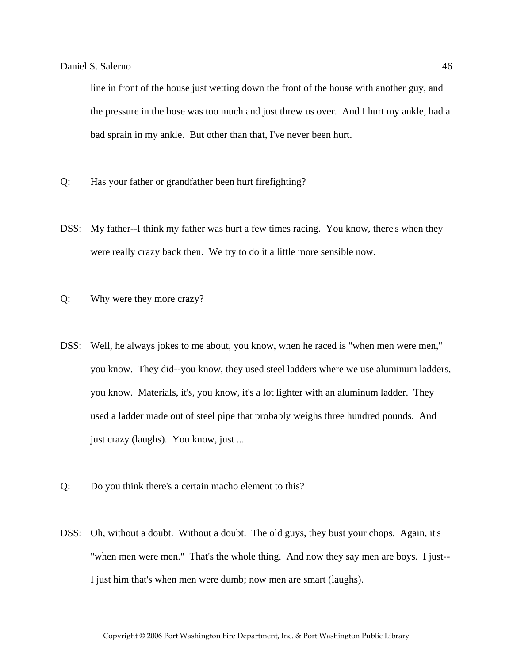line in front of the house just wetting down the front of the house with another guy, and the pressure in the hose was too much and just threw us over. And I hurt my ankle, had a bad sprain in my ankle. But other than that, I've never been hurt.

- Q: Has your father or grandfather been hurt firefighting?
- DSS: My father--I think my father was hurt a few times racing. You know, there's when they were really crazy back then. We try to do it a little more sensible now.
- Q: Why were they more crazy?
- DSS: Well, he always jokes to me about, you know, when he raced is "when men were men," you know. They did--you know, they used steel ladders where we use aluminum ladders, you know. Materials, it's, you know, it's a lot lighter with an aluminum ladder. They used a ladder made out of steel pipe that probably weighs three hundred pounds. And just crazy (laughs). You know, just ...
- Q: Do you think there's a certain macho element to this?
- DSS: Oh, without a doubt. Without a doubt. The old guys, they bust your chops. Again, it's "when men were men." That's the whole thing. And now they say men are boys. I just-- I just him that's when men were dumb; now men are smart (laughs).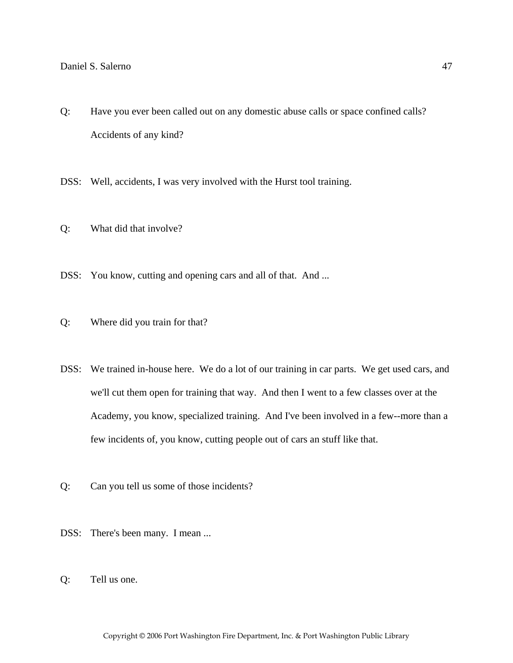Q: Have you ever been called out on any domestic abuse calls or space confined calls? Accidents of any kind?

DSS: Well, accidents, I was very involved with the Hurst tool training.

- Q: What did that involve?
- DSS: You know, cutting and opening cars and all of that. And ...
- Q: Where did you train for that?
- DSS: We trained in-house here. We do a lot of our training in car parts. We get used cars, and we'll cut them open for training that way. And then I went to a few classes over at the Academy, you know, specialized training. And I've been involved in a few--more than a few incidents of, you know, cutting people out of cars an stuff like that.
- Q: Can you tell us some of those incidents?
- DSS: There's been many. I mean ...
- Q: Tell us one.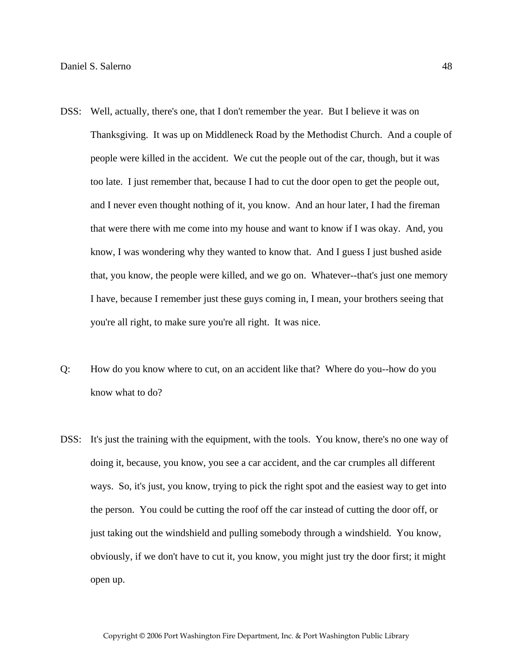- DSS: Well, actually, there's one, that I don't remember the year. But I believe it was on Thanksgiving. It was up on Middleneck Road by the Methodist Church. And a couple of people were killed in the accident. We cut the people out of the car, though, but it was too late. I just remember that, because I had to cut the door open to get the people out, and I never even thought nothing of it, you know. And an hour later, I had the fireman that were there with me come into my house and want to know if I was okay. And, you know, I was wondering why they wanted to know that. And I guess I just bushed aside that, you know, the people were killed, and we go on. Whatever--that's just one memory I have, because I remember just these guys coming in, I mean, your brothers seeing that you're all right, to make sure you're all right. It was nice.
- Q: How do you know where to cut, on an accident like that? Where do you--how do you know what to do?
- DSS: It's just the training with the equipment, with the tools. You know, there's no one way of doing it, because, you know, you see a car accident, and the car crumples all different ways. So, it's just, you know, trying to pick the right spot and the easiest way to get into the person. You could be cutting the roof off the car instead of cutting the door off, or just taking out the windshield and pulling somebody through a windshield. You know, obviously, if we don't have to cut it, you know, you might just try the door first; it might open up.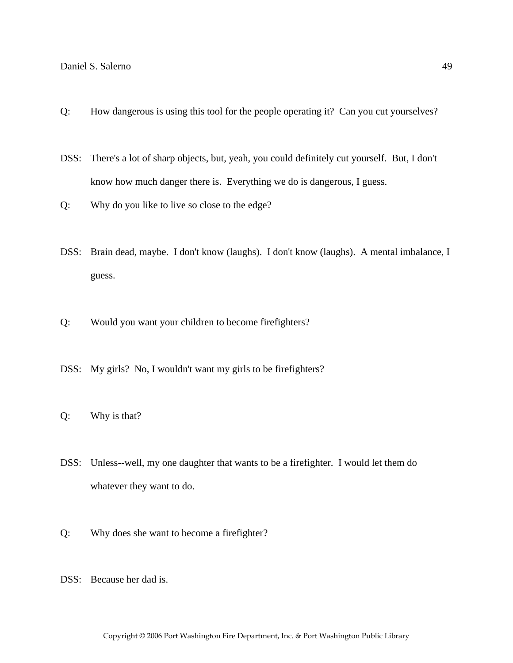- Q: How dangerous is using this tool for the people operating it? Can you cut yourselves?
- DSS: There's a lot of sharp objects, but, yeah, you could definitely cut yourself. But, I don't know how much danger there is. Everything we do is dangerous, I guess.
- Q: Why do you like to live so close to the edge?
- DSS: Brain dead, maybe. I don't know (laughs). I don't know (laughs). A mental imbalance, I guess.
- Q: Would you want your children to become firefighters?
- DSS: My girls? No, I wouldn't want my girls to be firefighters?
- Q: Why is that?
- DSS: Unless--well, my one daughter that wants to be a firefighter. I would let them do whatever they want to do.
- Q: Why does she want to become a firefighter?
- DSS: Because her dad is.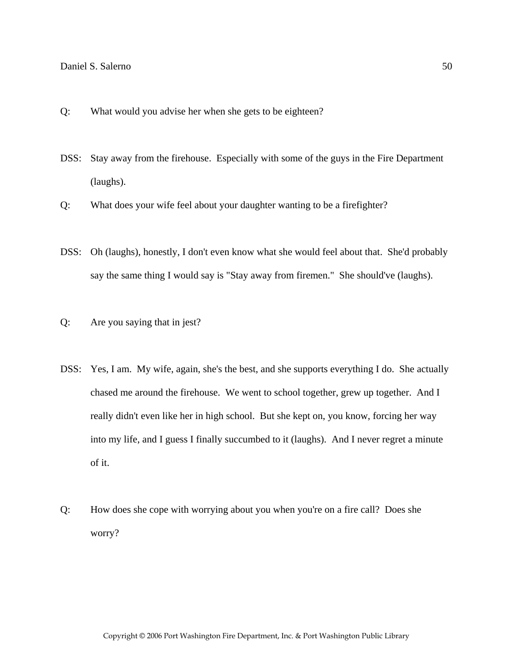- Q: What would you advise her when she gets to be eighteen?
- DSS: Stay away from the firehouse. Especially with some of the guys in the Fire Department (laughs).
- Q: What does your wife feel about your daughter wanting to be a firefighter?
- DSS: Oh (laughs), honestly, I don't even know what she would feel about that. She'd probably say the same thing I would say is "Stay away from firemen." She should've (laughs).
- Q: Are you saying that in jest?
- DSS: Yes, I am. My wife, again, she's the best, and she supports everything I do. She actually chased me around the firehouse. We went to school together, grew up together. And I really didn't even like her in high school. But she kept on, you know, forcing her way into my life, and I guess I finally succumbed to it (laughs). And I never regret a minute of it.
- Q: How does she cope with worrying about you when you're on a fire call? Does she worry?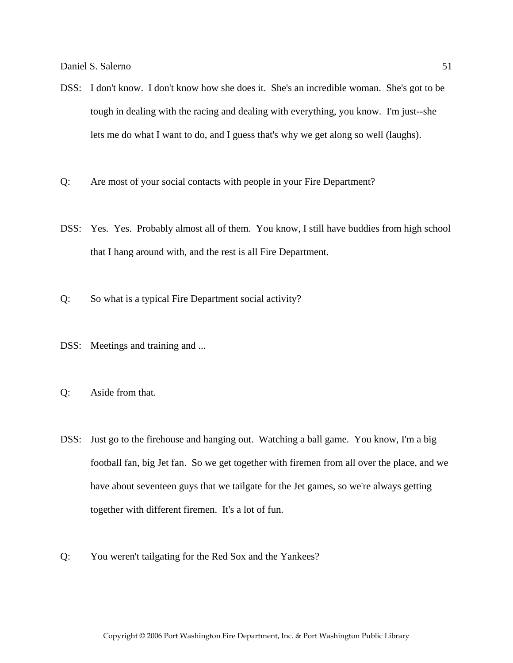- DSS: I don't know. I don't know how she does it. She's an incredible woman. She's got to be tough in dealing with the racing and dealing with everything, you know. I'm just--she lets me do what I want to do, and I guess that's why we get along so well (laughs).
- Q: Are most of your social contacts with people in your Fire Department?
- DSS: Yes. Yes. Probably almost all of them. You know, I still have buddies from high school that I hang around with, and the rest is all Fire Department.
- Q: So what is a typical Fire Department social activity?
- DSS: Meetings and training and ...
- Q: Aside from that.
- DSS: Just go to the firehouse and hanging out. Watching a ball game. You know, I'm a big football fan, big Jet fan. So we get together with firemen from all over the place, and we have about seventeen guys that we tailgate for the Jet games, so we're always getting together with different firemen. It's a lot of fun.
- Q: You weren't tailgating for the Red Sox and the Yankees?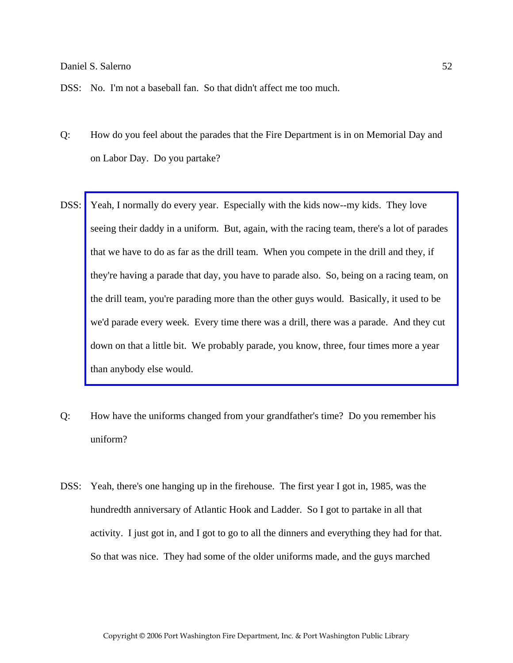- Q: How do you feel about the parades that the Fire Department is in on Memorial Day and on Labor Day. Do you partake?
- DSS: Yeah, I normally do every year. Especially with the kids now--my kids. They love seeing their daddy in a uniform. But, again, with the racing team, there's a lot of parades that we have to do as far as the drill team. When you compete in the drill and they, if [they're having a parade that day, you have to parade also. So, being on a racing team, on](http://www.pwfdhistory.com/trans/salernod_trans/peco_parades014_web.jpg)  the drill team, you're parading more than the other guys would. Basically, it used to be we'd parade every week. Every time there was a drill, there was a parade. And they cut down on that a little bit. We probably parade, you know, three, four times more a year than anybody else would.
- Q: How have the uniforms changed from your grandfather's time? Do you remember his uniform?
- DSS: Yeah, there's one hanging up in the firehouse. The first year I got in, 1985, was the hundredth anniversary of Atlantic Hook and Ladder. So I got to partake in all that activity. I just got in, and I got to go to all the dinners and everything they had for that. So that was nice. They had some of the older uniforms made, and the guys marched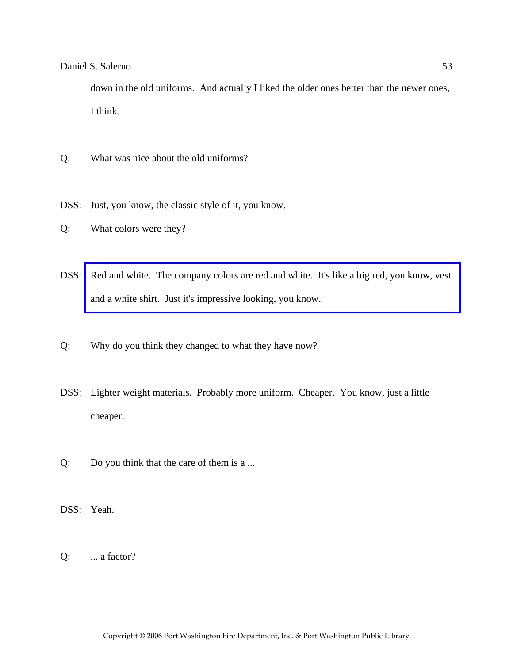down in the old uniforms. And actually I liked the older ones better than the newer ones, I think.

- Q: What was nice about the old uniforms?
- DSS: Just, you know, the classic style of it, you know.
- Q: What colors were they?
- DSS: [Red and white. The company colors are red and white. It's like a big red, you know, vest](http://www.pwfdhistory.com/trans/salernod_trans/ahlparade.jpg)  and a white shirt. Just it's impressive looking, you know.
- Q: Why do you think they changed to what they have now?
- DSS: Lighter weight materials. Probably more uniform. Cheaper. You know, just a little cheaper.
- Q: Do you think that the care of them is a ...
- DSS: Yeah.
- $Q:$  ... a factor?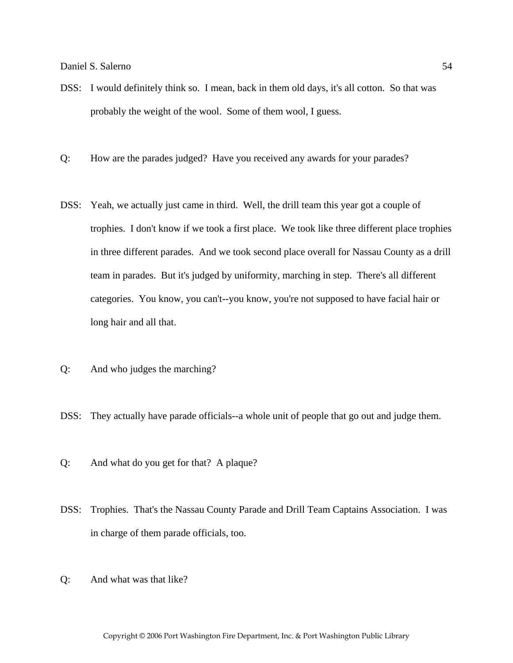- DSS: I would definitely think so. I mean, back in them old days, it's all cotton. So that was probably the weight of the wool. Some of them wool, I guess.
- Q: How are the parades judged? Have you received any awards for your parades?
- DSS: Yeah, we actually just came in third. Well, the drill team this year got a couple of trophies. I don't know if we took a first place. We took like three different place trophies in three different parades. And we took second place overall for Nassau County as a drill team in parades. But it's judged by uniformity, marching in step. There's all different categories. You know, you can't--you know, you're not supposed to have facial hair or long hair and all that.
- Q: And who judges the marching?
- DSS: They actually have parade officials--a whole unit of people that go out and judge them.
- Q: And what do you get for that? A plaque?
- DSS: Trophies. That's the Nassau County Parade and Drill Team Captains Association. I was in charge of them parade officials, too.
- Q: And what was that like?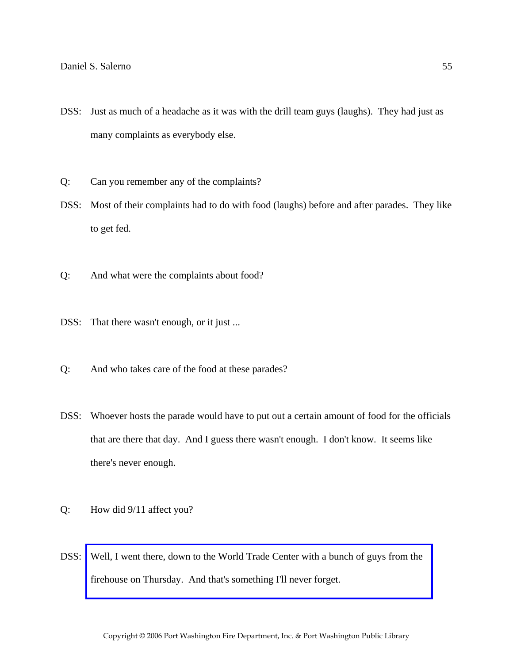- DSS: Just as much of a headache as it was with the drill team guys (laughs). They had just as many complaints as everybody else.
- Q: Can you remember any of the complaints?
- DSS: Most of their complaints had to do with food (laughs) before and after parades. They like to get fed.
- Q: And what were the complaints about food?
- DSS: That there wasn't enough, or it just ...
- Q: And who takes care of the food at these parades?
- DSS: Whoever hosts the parade would have to put out a certain amount of food for the officials that are there that day. And I guess there wasn't enough. I don't know. It seems like there's never enough.
- Q: How did 9/11 affect you?
- DSS: [Well, I went there, down to the World Trade Center with a bunch of guys from the](http://www.pwfdhistory.com/trans/salernod_trans/pwfd_911006_web.jpg)  firehouse on Thursday. And that's something I'll never forget.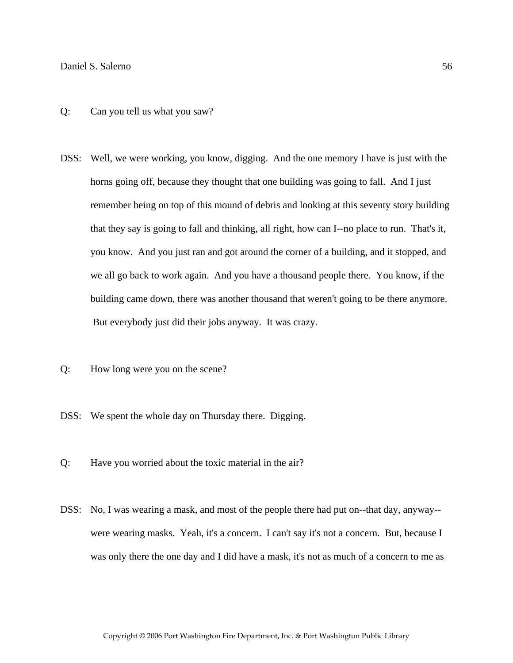- Q: Can you tell us what you saw?
- DSS: Well, we were working, you know, digging. And the one memory I have is just with the horns going off, because they thought that one building was going to fall. And I just remember being on top of this mound of debris and looking at this seventy story building that they say is going to fall and thinking, all right, how can I--no place to run. That's it, you know. And you just ran and got around the corner of a building, and it stopped, and we all go back to work again. And you have a thousand people there. You know, if the building came down, there was another thousand that weren't going to be there anymore. But everybody just did their jobs anyway. It was crazy.
- Q: How long were you on the scene?
- DSS: We spent the whole day on Thursday there. Digging.
- Q: Have you worried about the toxic material in the air?
- DSS: No, I was wearing a mask, and most of the people there had put on--that day, anyway- were wearing masks. Yeah, it's a concern. I can't say it's not a concern. But, because I was only there the one day and I did have a mask, it's not as much of a concern to me as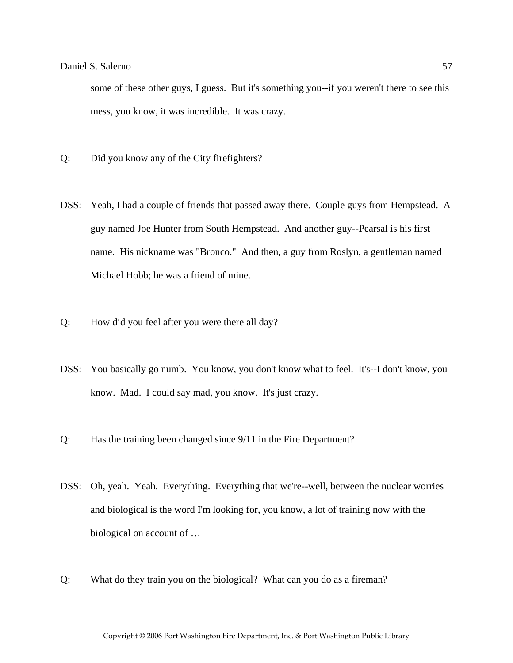some of these other guys, I guess. But it's something you--if you weren't there to see this mess, you know, it was incredible. It was crazy.

- Q: Did you know any of the City firefighters?
- DSS: Yeah, I had a couple of friends that passed away there. Couple guys from Hempstead. A guy named Joe Hunter from South Hempstead. And another guy--Pearsal is his first name. His nickname was "Bronco." And then, a guy from Roslyn, a gentleman named Michael Hobb; he was a friend of mine.
- Q: How did you feel after you were there all day?
- DSS: You basically go numb. You know, you don't know what to feel. It's--I don't know, you know. Mad. I could say mad, you know. It's just crazy.
- Q: Has the training been changed since 9/11 in the Fire Department?
- DSS: Oh, yeah. Yeah. Everything. Everything that we're--well, between the nuclear worries and biological is the word I'm looking for, you know, a lot of training now with the biological on account of …
- Q: What do they train you on the biological? What can you do as a fireman?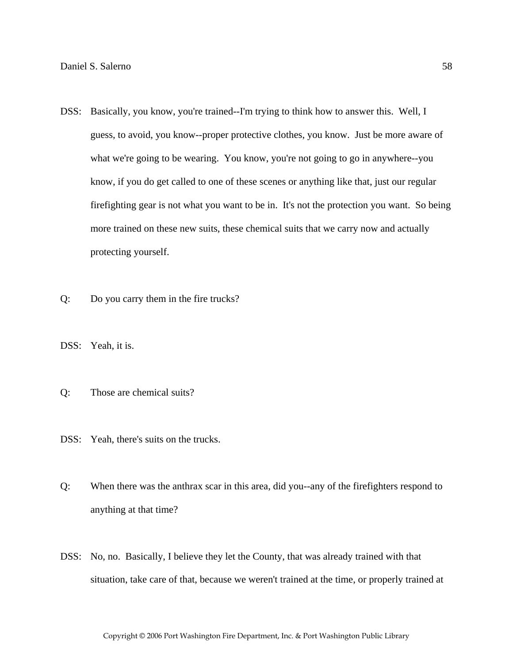- DSS: Basically, you know, you're trained--I'm trying to think how to answer this. Well, I guess, to avoid, you know--proper protective clothes, you know. Just be more aware of what we're going to be wearing. You know, you're not going to go in anywhere--you know, if you do get called to one of these scenes or anything like that, just our regular firefighting gear is not what you want to be in. It's not the protection you want. So being more trained on these new suits, these chemical suits that we carry now and actually protecting yourself.
- Q: Do you carry them in the fire trucks?
- DSS: Yeah, it is.
- Q: Those are chemical suits?
- DSS: Yeah, there's suits on the trucks.
- Q: When there was the anthrax scar in this area, did you--any of the firefighters respond to anything at that time?
- DSS: No, no. Basically, I believe they let the County, that was already trained with that situation, take care of that, because we weren't trained at the time, or properly trained at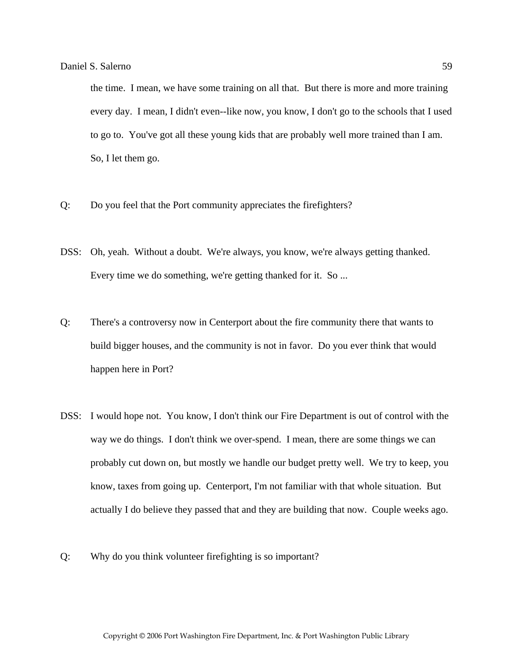the time. I mean, we have some training on all that. But there is more and more training every day. I mean, I didn't even--like now, you know, I don't go to the schools that I used to go to. You've got all these young kids that are probably well more trained than I am. So, I let them go.

- Q: Do you feel that the Port community appreciates the firefighters?
- DSS: Oh, yeah. Without a doubt. We're always, you know, we're always getting thanked. Every time we do something, we're getting thanked for it. So ...
- Q: There's a controversy now in Centerport about the fire community there that wants to build bigger houses, and the community is not in favor. Do you ever think that would happen here in Port?
- DSS: I would hope not. You know, I don't think our Fire Department is out of control with the way we do things. I don't think we over-spend. I mean, there are some things we can probably cut down on, but mostly we handle our budget pretty well. We try to keep, you know, taxes from going up. Centerport, I'm not familiar with that whole situation. But actually I do believe they passed that and they are building that now. Couple weeks ago.
- Q: Why do you think volunteer firefighting is so important?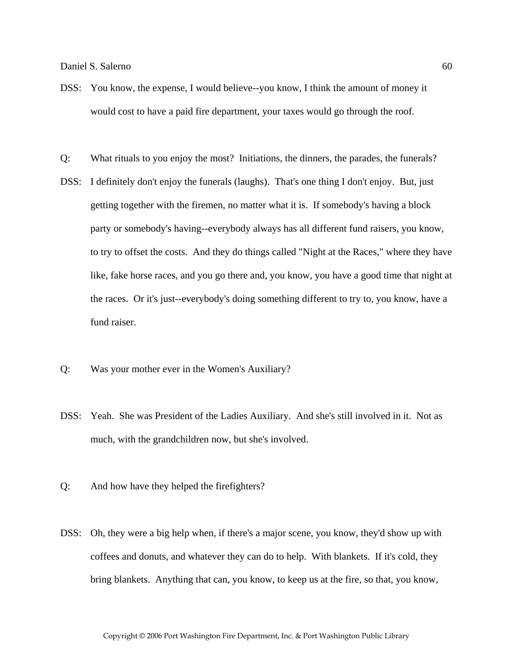- DSS: You know, the expense, I would believe--you know, I think the amount of money it would cost to have a paid fire department, your taxes would go through the roof.
- Q: What rituals to you enjoy the most? Initiations, the dinners, the parades, the funerals?
- DSS: I definitely don't enjoy the funerals (laughs). That's one thing I don't enjoy. But, just getting together with the firemen, no matter what it is. If somebody's having a block party or somebody's having--everybody always has all different fund raisers, you know, to try to offset the costs. And they do things called "Night at the Races," where they have like, fake horse races, and you go there and, you know, you have a good time that night at the races. Or it's just--everybody's doing something different to try to, you know, have a fund raiser.
- Q: Was your mother ever in the Women's Auxiliary?
- DSS: Yeah. She was President of the Ladies Auxiliary. And she's still involved in it. Not as much, with the grandchildren now, but she's involved.
- Q: And how have they helped the firefighters?
- DSS: Oh, they were a big help when, if there's a major scene, you know, they'd show up with coffees and donuts, and whatever they can do to help. With blankets. If it's cold, they bring blankets. Anything that can, you know, to keep us at the fire, so that, you know,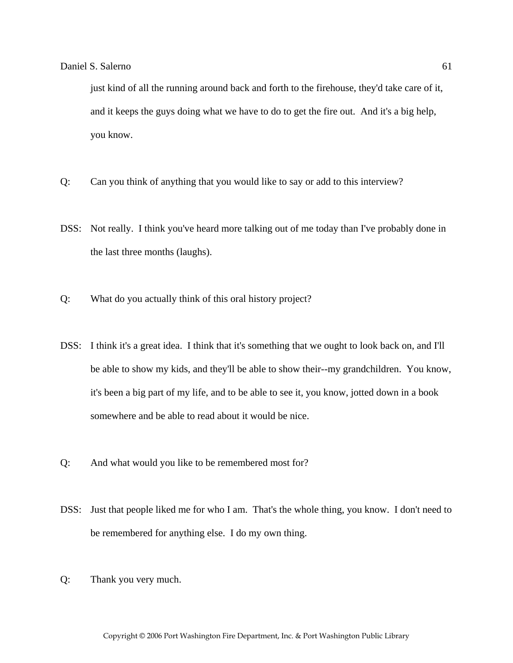just kind of all the running around back and forth to the firehouse, they'd take care of it, and it keeps the guys doing what we have to do to get the fire out. And it's a big help, you know.

- Q: Can you think of anything that you would like to say or add to this interview?
- DSS: Not really. I think you've heard more talking out of me today than I've probably done in the last three months (laughs).
- Q: What do you actually think of this oral history project?
- DSS: I think it's a great idea. I think that it's something that we ought to look back on, and I'll be able to show my kids, and they'll be able to show their--my grandchildren. You know, it's been a big part of my life, and to be able to see it, you know, jotted down in a book somewhere and be able to read about it would be nice.
- Q: And what would you like to be remembered most for?
- DSS: Just that people liked me for who I am. That's the whole thing, you know. I don't need to be remembered for anything else. I do my own thing.
- Q: Thank you very much.